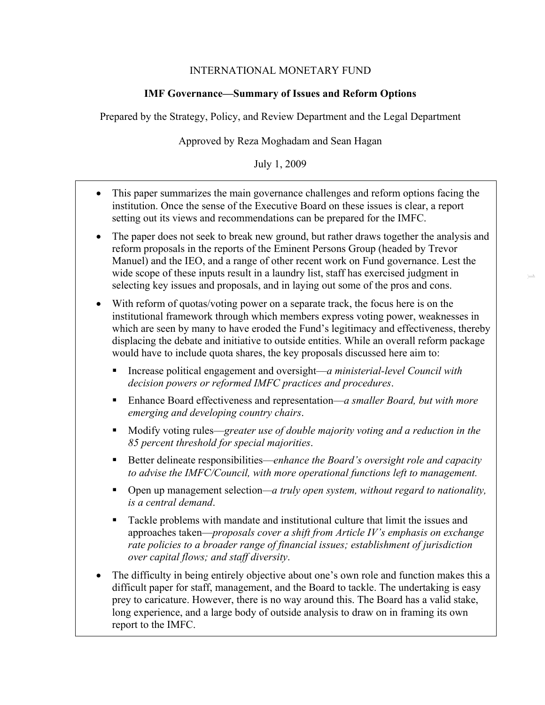## INTERNATIONAL MONETARY FUND

## **IMF Governance—Summary of Issues and Reform Options**

Prepared by the Strategy, Policy, and Review Department and the Legal Department

## Approved by Reza Moghadam and Sean Hagan

### July 1, 2009

- This paper summarizes the main governance challenges and reform options facing the institution. Once the sense of the Executive Board on these issues is clear, a report setting out its views and recommendations can be prepared for the IMFC.
- The paper does not seek to break new ground, but rather draws together the analysis and reform proposals in the reports of the Eminent Persons Group (headed by Trevor Manuel) and the IEO, and a range of other recent work on Fund governance. Lest the wide scope of these inputs result in a laundry list, staff has exercised judgment in selecting key issues and proposals, and in laying out some of the pros and cons.

1

- With reform of quotas/voting power on a separate track, the focus here is on the institutional framework through which members express voting power, weaknesses in which are seen by many to have eroded the Fund's legitimacy and effectiveness, thereby displacing the debate and initiative to outside entities. While an overall reform package would have to include quota shares, the key proposals discussed here aim to:
	- Increase political engagement and oversight—*a ministerial-level Council with decision powers or reformed IMFC practices and procedures*.
	- Enhance Board effectiveness and representation—*a smaller Board, but with more emerging and developing country chairs*.
	- Modify voting rules—*greater use of double majority voting and a reduction in the 85 percent threshold for special majorities*.
	- Better delineate responsibilities—*enhance the Board's oversight role and capacity to advise the IMFC/Council, with more operational functions left to management.*
	- Open up management selection—*a truly open system, without regard to nationality, is a central demand*.
	- Tackle problems with mandate and institutional culture that limit the issues and approaches taken—*proposals cover a shift from Article IV's emphasis on exchange rate policies to a broader range of financial issues; establishment of jurisdiction over capital flows; and staff diversity*.
- The difficulty in being entirely objective about one's own role and function makes this a difficult paper for staff, management, and the Board to tackle. The undertaking is easy prey to caricature. However, there is no way around this. The Board has a valid stake, long experience, and a large body of outside analysis to draw on in framing its own report to the IMFC.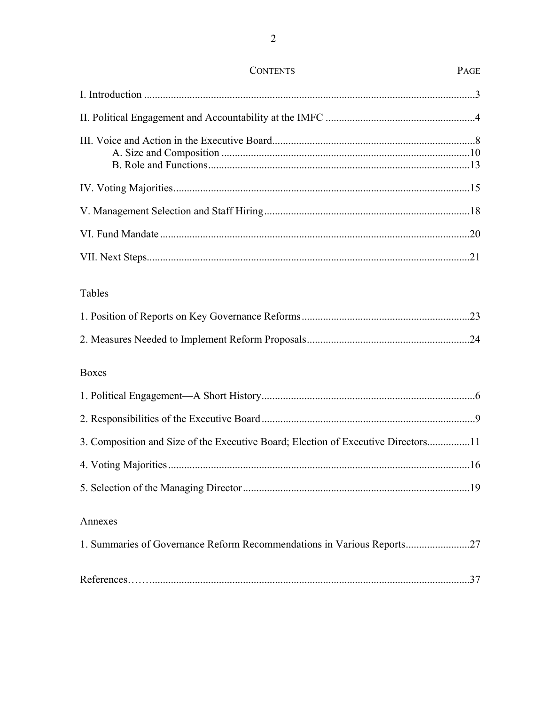| Tables                                                                            |  |
|-----------------------------------------------------------------------------------|--|
|                                                                                   |  |
|                                                                                   |  |
| <b>Boxes</b>                                                                      |  |
|                                                                                   |  |
|                                                                                   |  |
| 3. Composition and Size of the Executive Board; Election of Executive Directors11 |  |
|                                                                                   |  |
|                                                                                   |  |
| Annexes                                                                           |  |
| 1. Summaries of Governance Reform Recommendations in Various Reports27            |  |
|                                                                                   |  |

# **CONTENTS**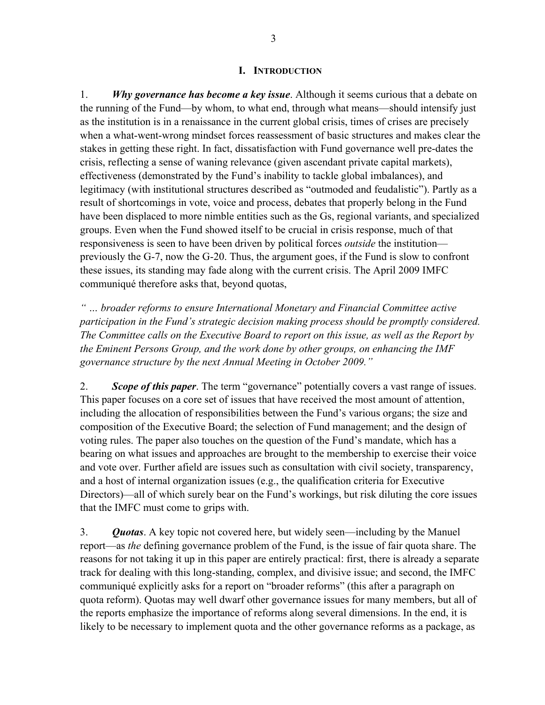#### **I. INTRODUCTION**

<span id="page-2-0"></span>1. *Why governance has become a key issue*. Although it seems curious that a debate on the running of the Fund—by whom, to what end, through what means—should intensify just as the institution is in a renaissance in the current global crisis, times of crises are precisely when a what-went-wrong mindset forces reassessment of basic structures and makes clear the stakes in getting these right. In fact, dissatisfaction with Fund governance well pre-dates the crisis, reflecting a sense of waning relevance (given ascendant private capital markets), effectiveness (demonstrated by the Fund's inability to tackle global imbalances), and legitimacy (with institutional structures described as "outmoded and feudalistic"). Partly as a result of shortcomings in vote, voice and process, debates that properly belong in the Fund have been displaced to more nimble entities such as the Gs, regional variants, and specialized groups. Even when the Fund showed itself to be crucial in crisis response, much of that responsiveness is seen to have been driven by political forces *outside* the institution previously the G-7, now the G-20. Thus, the argument goes, if the Fund is slow to confront these issues, its standing may fade along with the current crisis. The April 2009 IMFC communiqué therefore asks that, beyond quotas,

*" … broader reforms to ensure International Monetary and Financial Committee active participation in the Fund's strategic decision making process should be promptly considered. The Committee calls on the Executive Board to report on this issue, as well as the Report by the Eminent Persons Group, and the work done by other groups, on enhancing the IMF governance structure by the next Annual Meeting in October 2009."*

2. *Scope of this paper*. The term "governance" potentially covers a vast range of issues. This paper focuses on a core set of issues that have received the most amount of attention, including the allocation of responsibilities between the Fund's various organs; the size and composition of the Executive Board; the selection of Fund management; and the design of voting rules. The paper also touches on the question of the Fund's mandate, which has a bearing on what issues and approaches are brought to the membership to exercise their voice and vote over. Further afield are issues such as consultation with civil society, transparency, and a host of internal organization issues (e.g., the qualification criteria for Executive Directors)—all of which surely bear on the Fund's workings, but risk diluting the core issues that the IMFC must come to grips with.

3. *Quotas*. A key topic not covered here, but widely seen—including by the Manuel report—as *the* defining governance problem of the Fund, is the issue of fair quota share. The reasons for not taking it up in this paper are entirely practical: first, there is already a separate track for dealing with this long-standing, complex, and divisive issue; and second, the IMFC communiqué explicitly asks for a report on "broader reforms" (this after a paragraph on quota reform). Quotas may well dwarf other governance issues for many members, but all of the reports emphasize the importance of reforms along several dimensions. In the end, it is likely to be necessary to implement quota and the other governance reforms as a package, as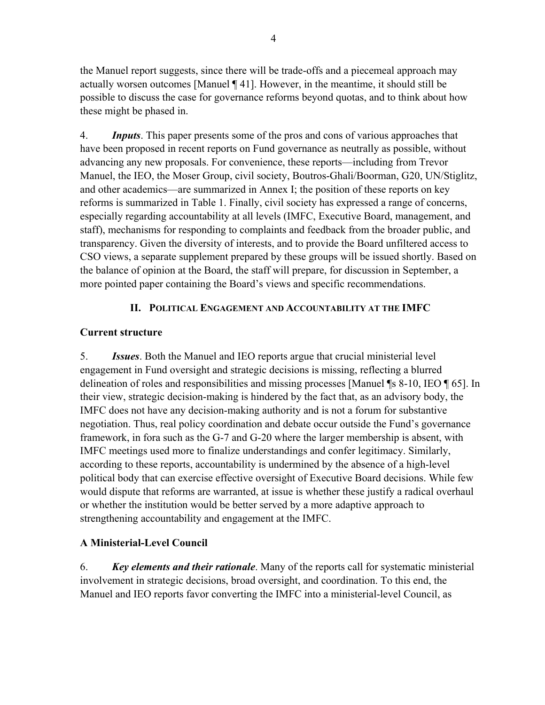the Manuel report suggests, since there will be trade-offs and a piecemeal approach may actually worsen outcomes [Manuel ¶ 41]. However, in the meantime, it should still be possible to discuss the case for governance reforms beyond quotas, and to think about how these might be phased in.

4. *Inputs*. This paper presents some of the pros and cons of various approaches that have been proposed in recent reports on Fund governance as neutrally as possible, without advancing any new proposals. For convenience, these reports—including from Trevor Manuel, the IEO, the Moser Group, civil society, Boutros-Ghali/Boorman, G20, UN/Stiglitz, and other academics—are summarized in Annex I; the position of these reports on key reforms is summarized in Table 1. Finally, civil society has expressed a range of concerns, especially regarding accountability at all levels (IMFC, Executive Board, management, and staff), mechanisms for responding to complaints and feedback from the broader public, and transparency. Given the diversity of interests, and to provide the Board unfiltered access to CSO views, a separate supplement prepared by these groups will be issued shortly. Based on the balance of opinion at the Board, the staff will prepare, for discussion in September, a more pointed paper containing the Board's views and specific recommendations.

# **II. POLITICAL ENGAGEMENT AND ACCOUNTABILITY AT THE IMFC**

# <span id="page-3-0"></span>**Current structure**

5. *Issues*. Both the Manuel and IEO reports argue that crucial ministerial level engagement in Fund oversight and strategic decisions is missing, reflecting a blurred delineation of roles and responsibilities and missing processes [Manuel ¶s 8-10, IEO ¶ 65]. In their view, strategic decision-making is hindered by the fact that, as an advisory body, the IMFC does not have any decision-making authority and is not a forum for substantive negotiation. Thus, real policy coordination and debate occur outside the Fund's governance framework, in fora such as the G-7 and G-20 where the larger membership is absent, with IMFC meetings used more to finalize understandings and confer legitimacy. Similarly, according to these reports, accountability is undermined by the absence of a high-level political body that can exercise effective oversight of Executive Board decisions. While few would dispute that reforms are warranted, at issue is whether these justify a radical overhaul or whether the institution would be better served by a more adaptive approach to strengthening accountability and engagement at the IMFC.

# **A Ministerial-Level Council**

6. *Key elements and their rationale*. Many of the reports call for systematic ministerial involvement in strategic decisions, broad oversight, and coordination. To this end, the Manuel and IEO reports favor converting the IMFC into a ministerial-level Council, as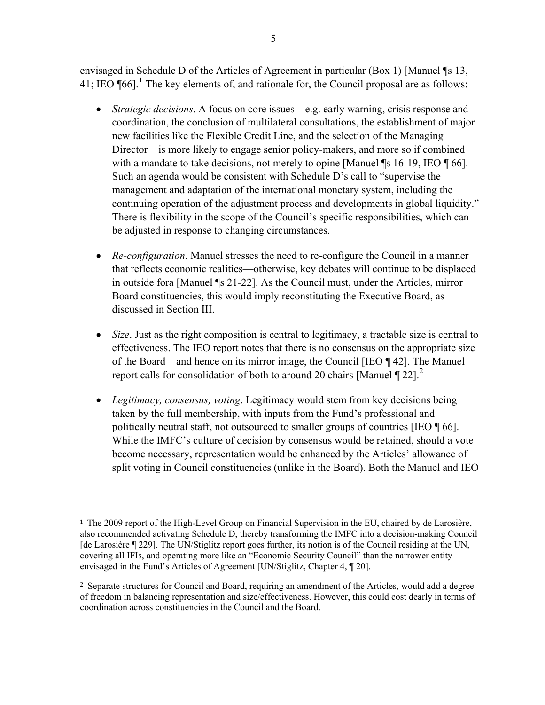envisaged in Schedule D of the Articles of Agreement in particular (Box 1) [Manuel ¶s 13, 41; IEO  $\P{66}$ <sup>1</sup>. The key elements of, and rationale for, the Council proposal are as follows:

- *Strategic decisions*. A focus on core issues—e.g. early warning, crisis response and coordination, the conclusion of multilateral consultations, the establishment of major new facilities like the Flexible Credit Line, and the selection of the Managing Director—is more likely to engage senior policy-makers, and more so if combined with a mandate to take decisions, not merely to opine [Manuel ¶s 16-19, IEO ¶ 66]. Such an agenda would be consistent with Schedule D's call to "supervise the management and adaptation of the international monetary system, including the continuing operation of the adjustment process and developments in global liquidity." There is flexibility in the scope of the Council's specific responsibilities, which can be adjusted in response to changing circumstances.
- *Re-configuration*. Manuel stresses the need to re-configure the Council in a manner that reflects economic realities—otherwise, key debates will continue to be displaced in outside fora [Manuel ¶s 21-22]. As the Council must, under the Articles, mirror Board constituencies, this would imply reconstituting the Executive Board, as discussed in Section III.
- *Size*. Just as the right composition is central to legitimacy, a tractable size is central to effectiveness. The IEO report notes that there is no consensus on the appropriate size of the Board—and hence on its mirror image, the Council [IEO ¶ 42]. The Manuel report calls for consolidation of both to around [2](#page-4-0)0 chairs [Manuel  $\P$  22].<sup>2</sup>
- *Legitimacy, consensus, voting*. Legitimacy would stem from key decisions being taken by the full membership, with inputs from the Fund's professional and politically neutral staff, not outsourced to smaller groups of countries [IEO ¶ 66]. While the IMFC's culture of decision by consensus would be retained, should a vote become necessary, representation would be enhanced by the Articles' allowance of split voting in Council constituencies (unlike in the Board). Both the Manuel and IEO

<sup>1</sup> The 2009 report of the High-Level Group on Financial Supervision in the EU, chaired by de Larosière, also recommended activating Schedule D, thereby transforming the IMFC into a decision-making Council [de Larosière ¶ 229]. The UN/Stiglitz report goes further, its notion is of the Council residing at the UN, covering all IFIs, and operating more like an "Economic Security Council" than the narrower entity envisaged in the Fund's Articles of Agreement [UN/Stiglitz, Chapter 4, ¶ 20].

<span id="page-4-0"></span><sup>2</sup> Separate structures for Council and Board, requiring an amendment of the Articles, would add a degree of freedom in balancing representation and size/effectiveness. However, this could cost dearly in terms of coordination across constituencies in the Council and the Board.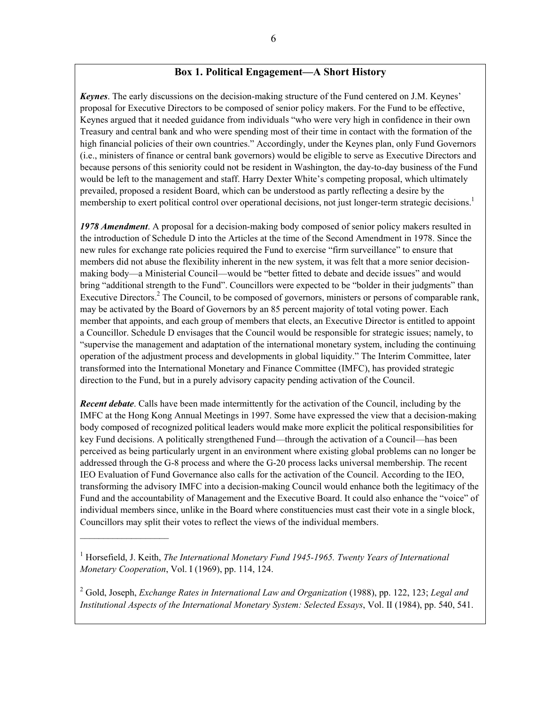#### **Box 1. Political Engagement—A Short History**

*Keynes*. The early discussions on the decision-making structure of the Fund centered on J.M. Keynes' proposal for Executive Directors to be composed of senior policy makers. For the Fund to be effective, Keynes argued that it needed guidance from individuals "who were very high in confidence in their own Treasury and central bank and who were spending most of their time in contact with the formation of the high financial policies of their own countries." Accordingly, under the Keynes plan, only Fund Governors (i.e., ministers of finance or central bank governors) would be eligible to serve as Executive Directors and because persons of this seniority could not be resident in Washington, the day-to-day business of the Fund would be left to the management and staff. Harry Dexter White's competing proposal, which ultimately prevailed, proposed a resident Board, which can be understood as partly reflecting a desire by the membership to exert political control over operational decisions, not just longer-term strategic decisions.<sup>1</sup>

*1978 Amendment*. A proposal for a decision-making body composed of senior policy makers resulted in the introduction of Schedule D into the Articles at the time of the Second Amendment in 1978. Since the new rules for exchange rate policies required the Fund to exercise "firm surveillance" to ensure that members did not abuse the flexibility inherent in the new system, it was felt that a more senior decisionmaking body—a Ministerial Council—would be "better fitted to debate and decide issues" and would bring "additional strength to the Fund". Councillors were expected to be "bolder in their judgments" than Executive Directors.<sup>2</sup> The Council, to be composed of governors, ministers or persons of comparable rank, may be activated by the Board of Governors by an 85 percent majority of total voting power. Each member that appoints, and each group of members that elects, an Executive Director is entitled to appoint a Councillor. Schedule D envisages that the Council would be responsible for strategic issues; namely, to "supervise the management and adaptation of the international monetary system, including the continuing operation of the adjustment process and developments in global liquidity." The Interim Committee, later transformed into the International Monetary and Finance Committee (IMFC), has provided strategic direction to the Fund, but in a purely advisory capacity pending activation of the Council.

*Recent debate*. Calls have been made intermittently for the activation of the Council, including by the IMFC at the Hong Kong Annual Meetings in 1997. Some have expressed the view that a decision-making body composed of recognized political leaders would make more explicit the political responsibilities for key Fund decisions. A politically strengthened Fund—through the activation of a Council—has been perceived as being particularly urgent in an environment where existing global problems can no longer be addressed through the G-8 process and where the G-20 process lacks universal membership. The recent IEO Evaluation of Fund Governance also calls for the activation of the Council. According to the IEO, transforming the advisory IMFC into a decision-making Council would enhance both the legitimacy of the Fund and the accountability of Management and the Executive Board. It could also enhance the "voice" of individual members since, unlike in the Board where constituencies must cast their vote in a single block, Councillors may split their votes to reflect the views of the individual members.

 $\mathcal{L}=\{1,2,3,4,5\}$ 

2 Gold, Joseph, *Exchange Rates in International Law and Organization* (1988), pp. 122, 123; *Legal and Institutional Aspects of the International Monetary System: Selected Essays*, Vol. II (1984), pp. 540, 541.

<sup>&</sup>lt;sup>1</sup> Horsefield, J. Keith, *The International Monetary Fund 1945-1965. Twenty Years of International Monetary Cooperation*, Vol. I (1969), pp. 114, 124.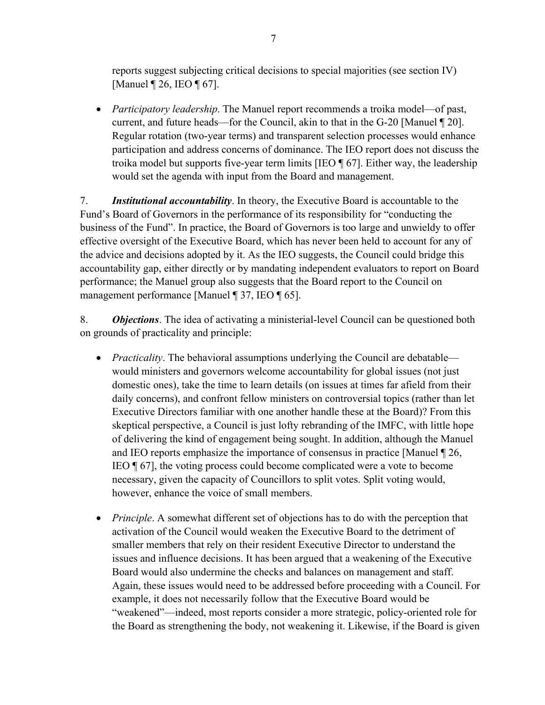reports suggest subjecting critical decisions to special majorities (see section IV) [Manuel ¶ 26, IEO ¶ 67].

 *Participatory leadership*. The Manuel report recommends a troika model—of past, current, and future heads—for the Council, akin to that in the G-20 [Manuel ¶ 20]. Regular rotation (two-year terms) and transparent selection processes would enhance participation and address concerns of dominance. The IEO report does not discuss the troika model but supports five-year term limits [IEO ¶ 67]. Either way, the leadership would set the agenda with input from the Board and management.

7. *Institutional accountability*. In theory, the Executive Board is accountable to the Fund's Board of Governors in the performance of its responsibility for "conducting the business of the Fund". In practice, the Board of Governors is too large and unwieldy to offer effective oversight of the Executive Board, which has never been held to account for any of the advice and decisions adopted by it. As the IEO suggests, the Council could bridge this accountability gap, either directly or by mandating independent evaluators to report on Board performance; the Manuel group also suggests that the Board report to the Council on management performance [Manuel ¶ 37, IEO ¶ 65].

8. *Objections*. The idea of activating a ministerial-level Council can be questioned both on grounds of practicality and principle:

- *Practicality*. The behavioral assumptions underlying the Council are debatable would ministers and governors welcome accountability for global issues (not just domestic ones), take the time to learn details (on issues at times far afield from their daily concerns), and confront fellow ministers on controversial topics (rather than let Executive Directors familiar with one another handle these at the Board)? From this skeptical perspective, a Council is just lofty rebranding of the IMFC, with little hope of delivering the kind of engagement being sought. In addition, although the Manuel and IEO reports emphasize the importance of consensus in practice [Manuel ¶ 26, IEO ¶ 67], the voting process could become complicated were a vote to become necessary, given the capacity of Councillors to split votes. Split voting would, however, enhance the voice of small members.
- *Principle*. A somewhat different set of objections has to do with the perception that activation of the Council would weaken the Executive Board to the detriment of smaller members that rely on their resident Executive Director to understand the issues and influence decisions. It has been argued that a weakening of the Executive Board would also undermine the checks and balances on management and staff. Again, these issues would need to be addressed before proceeding with a Council. For example, it does not necessarily follow that the Executive Board would be "weakened"—indeed, most reports consider a more strategic, policy-oriented role for the Board as strengthening the body, not weakening it. Likewise, if the Board is given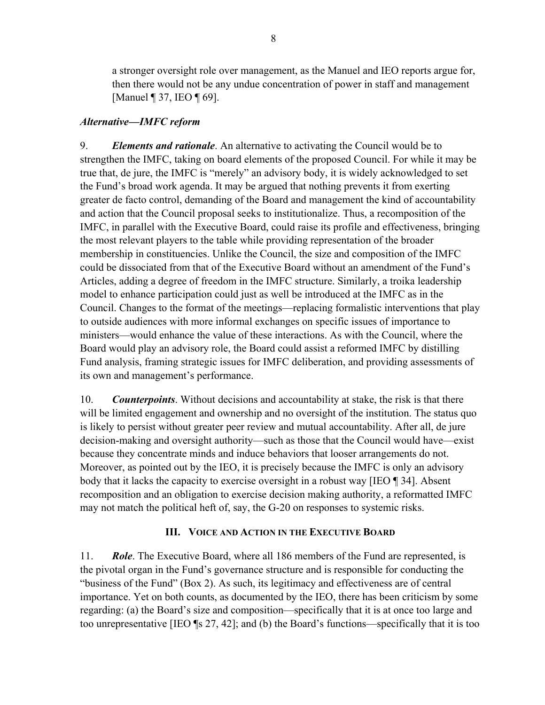a stronger oversight role over management, as the Manuel and IEO reports argue for, then there would not be any undue concentration of power in staff and management [Manuel ¶ 37, IEO ¶ 69].

## *Alternative—IMFC reform*

9. *Elements and rationale*. An alternative to activating the Council would be to strengthen the IMFC, taking on board elements of the proposed Council. For while it may be true that, de jure, the IMFC is "merely" an advisory body, it is widely acknowledged to set the Fund's broad work agenda. It may be argued that nothing prevents it from exerting greater de facto control, demanding of the Board and management the kind of accountability and action that the Council proposal seeks to institutionalize. Thus, a recomposition of the IMFC, in parallel with the Executive Board, could raise its profile and effectiveness, bringing the most relevant players to the table while providing representation of the broader membership in constituencies. Unlike the Council, the size and composition of the IMFC could be dissociated from that of the Executive Board without an amendment of the Fund's Articles, adding a degree of freedom in the IMFC structure. Similarly, a troika leadership model to enhance participation could just as well be introduced at the IMFC as in the Council. Changes to the format of the meetings—replacing formalistic interventions that play to outside audiences with more informal exchanges on specific issues of importance to ministers—would enhance the value of these interactions. As with the Council, where the Board would play an advisory role, the Board could assist a reformed IMFC by distilling Fund analysis, framing strategic issues for IMFC deliberation, and providing assessments of its own and management's performance.

10. *Counterpoints*. Without decisions and accountability at stake, the risk is that there will be limited engagement and ownership and no oversight of the institution. The status quo is likely to persist without greater peer review and mutual accountability. After all, de jure decision-making and oversight authority—such as those that the Council would have—exist because they concentrate minds and induce behaviors that looser arrangements do not. Moreover, as pointed out by the IEO, it is precisely because the IMFC is only an advisory body that it lacks the capacity to exercise oversight in a robust way [IEO ¶ 34]. Absent recomposition and an obligation to exercise decision making authority, a reformatted IMFC may not match the political heft of, say, the G-20 on responses to systemic risks.

## **III. VOICE AND ACTION IN THE EXECUTIVE BOARD**

<span id="page-7-0"></span>11. *Role*. The Executive Board, where all 186 members of the Fund are represented, is the pivotal organ in the Fund's governance structure and is responsible for conducting the "business of the Fund" (Box 2). As such, its legitimacy and effectiveness are of central importance. Yet on both counts, as documented by the IEO, there has been criticism by some regarding: (a) the Board's size and composition—specifically that it is at once too large and too unrepresentative [IEO ¶s 27, 42]; and (b) the Board's functions—specifically that it is too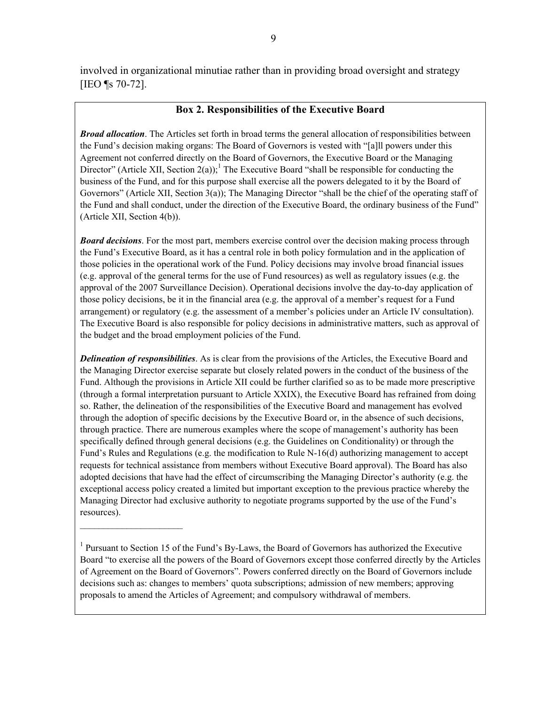involved in organizational minutiae rather than in providing broad oversight and strategy [IEO ¶s 70-72].

## **Box 2. Responsibilities of the Executive Board**

*Broad allocation*. The Articles set forth in broad terms the general allocation of responsibilities between the Fund's decision making organs: The Board of Governors is vested with "[a]ll powers under this Agreement not conferred directly on the Board of Governors, the Executive Board or the Managing Director" (Article XII, Section 2(a));<sup>1</sup> The Executive Board "shall be responsible for conducting the business of the Fund, and for this purpose shall exercise all the powers delegated to it by the Board of Governors" (Article XII, Section 3(a)); The Managing Director "shall be the chief of the operating staff of the Fund and shall conduct, under the direction of the Executive Board, the ordinary business of the Fund" (Article XII, Section 4(b)).

*Board decisions*. For the most part, members exercise control over the decision making process through the Fund's Executive Board, as it has a central role in both policy formulation and in the application of those policies in the operational work of the Fund. Policy decisions may involve broad financial issues (e.g. approval of the general terms for the use of Fund resources) as well as regulatory issues (e.g. the approval of the 2007 Surveillance Decision). Operational decisions involve the day-to-day application of those policy decisions, be it in the financial area (e.g. the approval of a member's request for a Fund arrangement) or regulatory (e.g. the assessment of a member's policies under an Article IV consultation). The Executive Board is also responsible for policy decisions in administrative matters, such as approval of the budget and the broad employment policies of the Fund.

*Delineation of responsibilities*. As is clear from the provisions of the Articles, the Executive Board and the Managing Director exercise separate but closely related powers in the conduct of the business of the Fund. Although the provisions in Article XII could be further clarified so as to be made more prescriptive (through a formal interpretation pursuant to Article XXIX), the Executive Board has refrained from doing so. Rather, the delineation of the responsibilities of the Executive Board and management has evolved through the adoption of specific decisions by the Executive Board or, in the absence of such decisions, through practice. There are numerous examples where the scope of management's authority has been specifically defined through general decisions (e.g. the Guidelines on Conditionality) or through the Fund's Rules and Regulations (e.g. the modification to Rule N-16(d) authorizing management to accept requests for technical assistance from members without Executive Board approval). The Board has also adopted decisions that have had the effect of circumscribing the Managing Director's authority (e.g. the exceptional access policy created a limited but important exception to the previous practice whereby the Managing Director had exclusive authority to negotiate programs supported by the use of the Fund's resources).

<sup>&</sup>lt;sup>1</sup> Pursuant to Section 15 of the Fund's By-Laws, the Board of Governors has authorized the Executive Board "to exercise all the powers of the Board of Governors except those conferred directly by the Articles of Agreement on the Board of Governors". Powers conferred directly on the Board of Governors include decisions such as: changes to members' quota subscriptions; admission of new members; approving proposals to amend the Articles of Agreement; and compulsory withdrawal of members.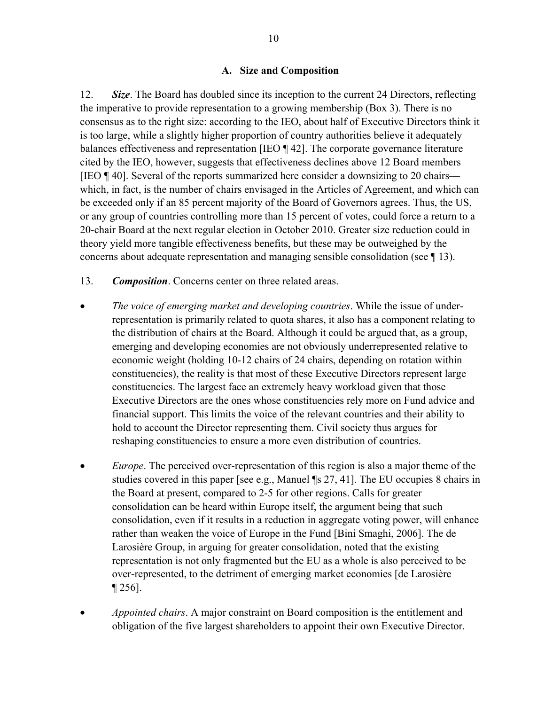## **A. Size and Composition**

<span id="page-9-0"></span>12. *Size*. The Board has doubled since its inception to the current 24 Directors, reflecting the imperative to provide representation to a growing membership (Box 3). There is no consensus as to the right size: according to the IEO, about half of Executive Directors think it is too large, while a slightly higher proportion of country authorities believe it adequately balances effectiveness and representation [IEO ¶ 42]. The corporate governance literature cited by the IEO, however, suggests that effectiveness declines above 12 Board members [IEO ¶ 40]. Several of the reports summarized here consider a downsizing to 20 chairs which, in fact, is the number of chairs envisaged in the Articles of Agreement, and which can be exceeded only if an 85 percent majority of the Board of Governors agrees. Thus, the US, or any group of countries controlling more than 15 percent of votes, could force a return to a 20-chair Board at the next regular election in October 2010. Greater size reduction could in theory yield more tangible effectiveness benefits, but these may be outweighed by the concerns about adequate representation and managing sensible consolidation (see ¶ 13).

- 13. *Composition*. Concerns center on three related areas.
- *The voice of emerging market and developing countries*. While the issue of underrepresentation is primarily related to quota shares, it also has a component relating to the distribution of chairs at the Board. Although it could be argued that, as a group, emerging and developing economies are not obviously underrepresented relative to economic weight (holding 10-12 chairs of 24 chairs, depending on rotation within constituencies), the reality is that most of these Executive Directors represent large constituencies. The largest face an extremely heavy workload given that those Executive Directors are the ones whose constituencies rely more on Fund advice and financial support. This limits the voice of the relevant countries and their ability to hold to account the Director representing them. Civil society thus argues for reshaping constituencies to ensure a more even distribution of countries.
- *Europe*. The perceived over-representation of this region is also a major theme of the studies covered in this paper [see e.g., Manuel ¶s 27, 41]. The EU occupies 8 chairs in the Board at present, compared to 2-5 for other regions. Calls for greater consolidation can be heard within Europe itself, the argument being that such consolidation, even if it results in a reduction in aggregate voting power, will enhance rather than weaken the voice of Europe in the Fund [Bini Smaghi, 2006]. The de Larosière Group, in arguing for greater consolidation, noted that the existing representation is not only fragmented but the EU as a whole is also perceived to be over-represented, to the detriment of emerging market economies [de Larosière ¶ 256].
- *Appointed chairs*. A major constraint on Board composition is the entitlement and obligation of the five largest shareholders to appoint their own Executive Director.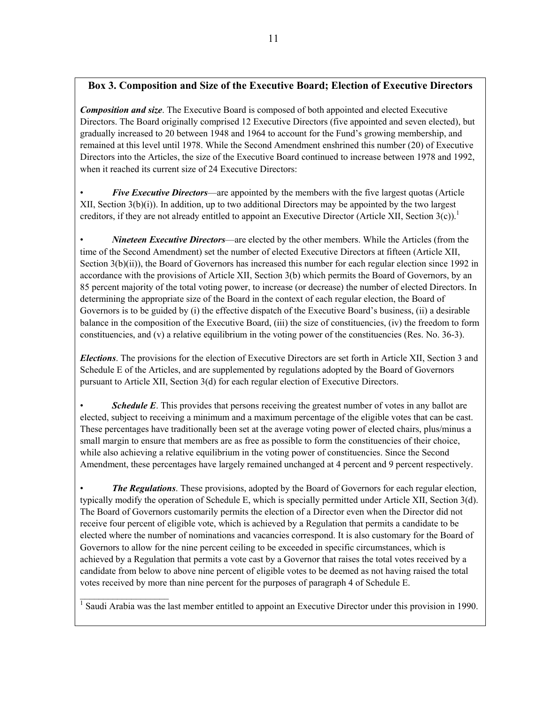## **Box 3. Composition and Size of the Executive Board; Election of Executive Directors**

*Composition and size*. The Executive Board is composed of both appointed and elected Executive Directors. The Board originally comprised 12 Executive Directors (five appointed and seven elected), but gradually increased to 20 between 1948 and 1964 to account for the Fund's growing membership, and remained at this level until 1978. While the Second Amendment enshrined this number (20) of Executive Directors into the Articles, the size of the Executive Board continued to increase between 1978 and 1992, when it reached its current size of 24 Executive Directors:

• *Five Executive Directors*—are appointed by the members with the five largest quotas (Article XII, Section  $3(b)(i)$ ). In addition, up to two additional Directors may be appointed by the two largest creditors, if they are not already entitled to appoint an Executive Director (Article XII, Section 3(c)).<sup>1</sup>

• *Nineteen Executive Directors*—are elected by the other members. While the Articles (from the time of the Second Amendment) set the number of elected Executive Directors at fifteen (Article XII, Section 3(b)(ii)), the Board of Governors has increased this number for each regular election since 1992 in accordance with the provisions of Article XII, Section 3(b) which permits the Board of Governors, by an 85 percent majority of the total voting power, to increase (or decrease) the number of elected Directors. In determining the appropriate size of the Board in the context of each regular election, the Board of Governors is to be guided by (i) the effective dispatch of the Executive Board's business, (ii) a desirable balance in the composition of the Executive Board, (iii) the size of constituencies, (iv) the freedom to form constituencies, and (v) a relative equilibrium in the voting power of the constituencies (Res. No. 36-3).

*Elections*. The provisions for the election of Executive Directors are set forth in Article XII, Section 3 and Schedule E of the Articles, and are supplemented by regulations adopted by the Board of Governors pursuant to Article XII, Section 3(d) for each regular election of Executive Directors.

**Schedule E**. This provides that persons receiving the greatest number of votes in any ballot are elected, subject to receiving a minimum and a maximum percentage of the eligible votes that can be cast. These percentages have traditionally been set at the average voting power of elected chairs, plus/minus a small margin to ensure that members are as free as possible to form the constituencies of their choice, while also achieving a relative equilibrium in the voting power of constituencies. Since the Second Amendment, these percentages have largely remained unchanged at 4 percent and 9 percent respectively.

*The Regulations.* These provisions, adopted by the Board of Governors for each regular election, typically modify the operation of Schedule E, which is specially permitted under Article XII, Section 3(d). The Board of Governors customarily permits the election of a Director even when the Director did not receive four percent of eligible vote, which is achieved by a Regulation that permits a candidate to be elected where the number of nominations and vacancies correspond. It is also customary for the Board of Governors to allow for the nine percent ceiling to be exceeded in specific circumstances, which is achieved by a Regulation that permits a vote cast by a Governor that raises the total votes received by a candidate from below to above nine percent of eligible votes to be deemed as not having raised the total votes received by more than nine percent for the purposes of paragraph 4 of Schedule E.

<sup>1</sup> Saudi Arabia was the last member entitled to appoint an Executive Director under this provision in 1990.

 $\mathcal{L}=\{1,2,3,4,5\}$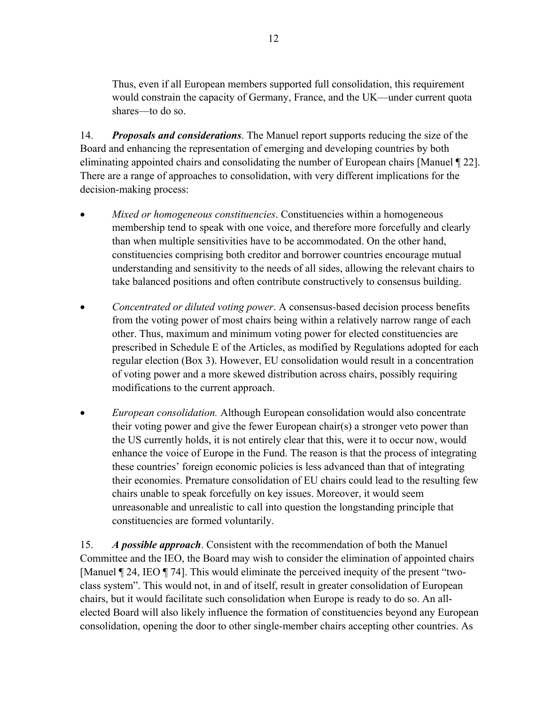Thus, even if all European members supported full consolidation, this requirement would constrain the capacity of Germany, France, and the UK—under current quota shares—to do so.

14. *Proposals and considerations*. The Manuel report supports reducing the size of the Board and enhancing the representation of emerging and developing countries by both eliminating appointed chairs and consolidating the number of European chairs [Manuel ¶ 22]. There are a range of approaches to consolidation, with very different implications for the decision-making process:

- *Mixed or homogeneous constituencies*. Constituencies within a homogeneous membership tend to speak with one voice, and therefore more forcefully and clearly than when multiple sensitivities have to be accommodated. On the other hand, constituencies comprising both creditor and borrower countries encourage mutual understanding and sensitivity to the needs of all sides, allowing the relevant chairs to take balanced positions and often contribute constructively to consensus building.
- *Concentrated or diluted voting power*. A consensus-based decision process benefits from the voting power of most chairs being within a relatively narrow range of each other. Thus, maximum and minimum voting power for elected constituencies are prescribed in Schedule E of the Articles, as modified by Regulations adopted for each regular election (Box 3). However, EU consolidation would result in a concentration of voting power and a more skewed distribution across chairs, possibly requiring modifications to the current approach.
- *European consolidation.* Although European consolidation would also concentrate their voting power and give the fewer European chair(s) a stronger veto power than the US currently holds, it is not entirely clear that this, were it to occur now, would enhance the voice of Europe in the Fund. The reason is that the process of integrating these countries' foreign economic policies is less advanced than that of integrating their economies. Premature consolidation of EU chairs could lead to the resulting few chairs unable to speak forcefully on key issues. Moreover, it would seem unreasonable and unrealistic to call into question the longstanding principle that constituencies are formed voluntarily.

15. *A possible approach*. Consistent with the recommendation of both the Manuel Committee and the IEO, the Board may wish to consider the elimination of appointed chairs [Manuel ¶ 24, IEO ¶ 74]. This would eliminate the perceived inequity of the present "twoclass system". This would not, in and of itself, result in greater consolidation of European chairs, but it would facilitate such consolidation when Europe is ready to do so. An allelected Board will also likely influence the formation of constituencies beyond any European consolidation, opening the door to other single-member chairs accepting other countries. As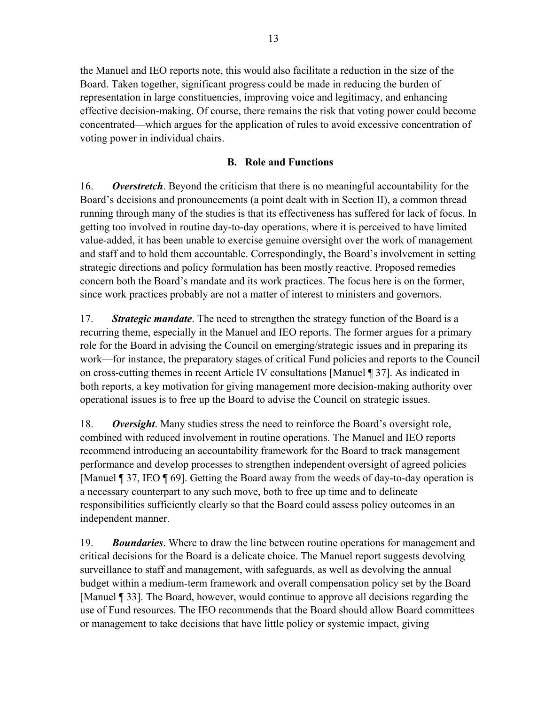the Manuel and IEO reports note, this would also facilitate a reduction in the size of the Board. Taken together, significant progress could be made in reducing the burden of representation in large constituencies, improving voice and legitimacy, and enhancing effective decision-making. Of course, there remains the risk that voting power could become concentrated—which argues for the application of rules to avoid excessive concentration of voting power in individual chairs.

## **B. Role and Functions**

<span id="page-12-0"></span>16. *Overstretch*. Beyond the criticism that there is no meaningful accountability for the Board's decisions and pronouncements (a point dealt with in Section II), a common thread running through many of the studies is that its effectiveness has suffered for lack of focus. In getting too involved in routine day-to-day operations, where it is perceived to have limited value-added, it has been unable to exercise genuine oversight over the work of management and staff and to hold them accountable. Correspondingly, the Board's involvement in setting strategic directions and policy formulation has been mostly reactive. Proposed remedies concern both the Board's mandate and its work practices. The focus here is on the former, since work practices probably are not a matter of interest to ministers and governors.

17. *Strategic mandate*. The need to strengthen the strategy function of the Board is a recurring theme, especially in the Manuel and IEO reports. The former argues for a primary role for the Board in advising the Council on emerging/strategic issues and in preparing its work—for instance, the preparatory stages of critical Fund policies and reports to the Council on cross-cutting themes in recent Article IV consultations [Manuel ¶ 37]. As indicated in both reports, a key motivation for giving management more decision-making authority over operational issues is to free up the Board to advise the Council on strategic issues.

18. *Oversight*. Many studies stress the need to reinforce the Board's oversight role, combined with reduced involvement in routine operations. The Manuel and IEO reports recommend introducing an accountability framework for the Board to track management performance and develop processes to strengthen independent oversight of agreed policies [Manuel ¶ 37, IEO ¶ 69]. Getting the Board away from the weeds of day-to-day operation is a necessary counterpart to any such move, both to free up time and to delineate responsibilities sufficiently clearly so that the Board could assess policy outcomes in an independent manner.

19. *Boundaries*. Where to draw the line between routine operations for management and critical decisions for the Board is a delicate choice. The Manuel report suggests devolving surveillance to staff and management, with safeguards, as well as devolving the annual budget within a medium-term framework and overall compensation policy set by the Board [Manuel ¶ 33]. The Board, however, would continue to approve all decisions regarding the use of Fund resources. The IEO recommends that the Board should allow Board committees or management to take decisions that have little policy or systemic impact, giving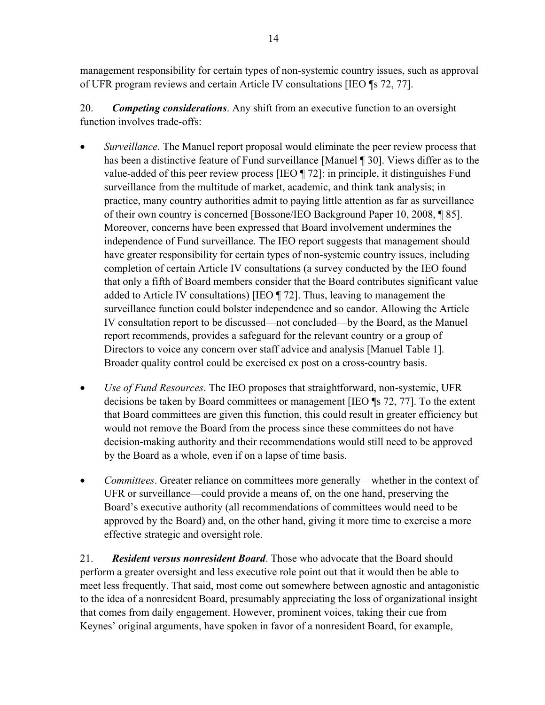management responsibility for certain types of non-systemic country issues, such as approval of UFR program reviews and certain Article IV consultations [IEO ¶s 72, 77].

20. *Competing considerations*. Any shift from an executive function to an oversight function involves trade-offs:

- *Surveillance*. The Manuel report proposal would eliminate the peer review process that has been a distinctive feature of Fund surveillance [Manuel ¶ 30]. Views differ as to the value-added of this peer review process [IEO ¶ 72]: in principle, it distinguishes Fund surveillance from the multitude of market, academic, and think tank analysis; in practice, many country authorities admit to paying little attention as far as surveillance of their own country is concerned [Bossone/IEO Background Paper 10, 2008, ¶ 85]. Moreover, concerns have been expressed that Board involvement undermines the independence of Fund surveillance. The IEO report suggests that management should have greater responsibility for certain types of non-systemic country issues, including completion of certain Article IV consultations (a survey conducted by the IEO found that only a fifth of Board members consider that the Board contributes significant value added to Article IV consultations) [IEO ¶ 72]. Thus, leaving to management the surveillance function could bolster independence and so candor. Allowing the Article IV consultation report to be discussed—not concluded—by the Board, as the Manuel report recommends, provides a safeguard for the relevant country or a group of Directors to voice any concern over staff advice and analysis [Manuel Table 1]. Broader quality control could be exercised ex post on a cross-country basis.
- *Use of Fund Resources*. The IEO proposes that straightforward, non-systemic, UFR decisions be taken by Board committees or management [IEO ¶s 72, 77]. To the extent that Board committees are given this function, this could result in greater efficiency but would not remove the Board from the process since these committees do not have decision-making authority and their recommendations would still need to be approved by the Board as a whole, even if on a lapse of time basis.
- *Committees*. Greater reliance on committees more generally—whether in the context of UFR or surveillance—could provide a means of, on the one hand, preserving the Board's executive authority (all recommendations of committees would need to be approved by the Board) and, on the other hand, giving it more time to exercise a more effective strategic and oversight role.

21. *Resident versus nonresident Board*. Those who advocate that the Board should perform a greater oversight and less executive role point out that it would then be able to meet less frequently. That said, most come out somewhere between agnostic and antagonistic to the idea of a nonresident Board, presumably appreciating the loss of organizational insight that comes from daily engagement. However, prominent voices, taking their cue from Keynes' original arguments, have spoken in favor of a nonresident Board, for example,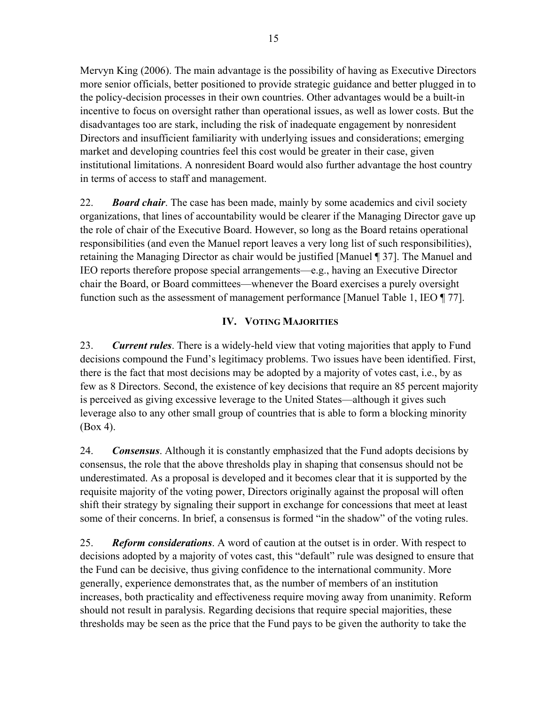Mervyn King (2006). The main advantage is the possibility of having as Executive Directors more senior officials, better positioned to provide strategic guidance and better plugged in to the policy-decision processes in their own countries. Other advantages would be a built-in incentive to focus on oversight rather than operational issues, as well as lower costs. But the disadvantages too are stark, including the risk of inadequate engagement by nonresident Directors and insufficient familiarity with underlying issues and considerations; emerging market and developing countries feel this cost would be greater in their case, given institutional limitations. A nonresident Board would also further advantage the host country in terms of access to staff and management.

22. *Board chair*. The case has been made, mainly by some academics and civil society organizations, that lines of accountability would be clearer if the Managing Director gave up the role of chair of the Executive Board. However, so long as the Board retains operational responsibilities (and even the Manuel report leaves a very long list of such responsibilities), retaining the Managing Director as chair would be justified [Manuel ¶ 37]. The Manuel and IEO reports therefore propose special arrangements—e.g., having an Executive Director chair the Board, or Board committees—whenever the Board exercises a purely oversight function such as the assessment of management performance [Manuel Table 1, IEO ¶ 77].

## **IV. VOTING MAJORITIES**

<span id="page-14-0"></span>23. *Current rules*. There is a widely-held view that voting majorities that apply to Fund decisions compound the Fund's legitimacy problems. Two issues have been identified. First, there is the fact that most decisions may be adopted by a majority of votes cast, i.e., by as few as 8 Directors. Second, the existence of key decisions that require an 85 percent majority is perceived as giving excessive leverage to the United States—although it gives such leverage also to any other small group of countries that is able to form a blocking minority (Box 4).

24. *Consensus*. Although it is constantly emphasized that the Fund adopts decisions by consensus, the role that the above thresholds play in shaping that consensus should not be underestimated. As a proposal is developed and it becomes clear that it is supported by the requisite majority of the voting power, Directors originally against the proposal will often shift their strategy by signaling their support in exchange for concessions that meet at least some of their concerns. In brief, a consensus is formed "in the shadow" of the voting rules.

25. *Reform considerations*. A word of caution at the outset is in order. With respect to decisions adopted by a majority of votes cast, this "default" rule was designed to ensure that the Fund can be decisive, thus giving confidence to the international community. More generally, experience demonstrates that, as the number of members of an institution increases, both practicality and effectiveness require moving away from unanimity. Reform should not result in paralysis. Regarding decisions that require special majorities, these thresholds may be seen as the price that the Fund pays to be given the authority to take the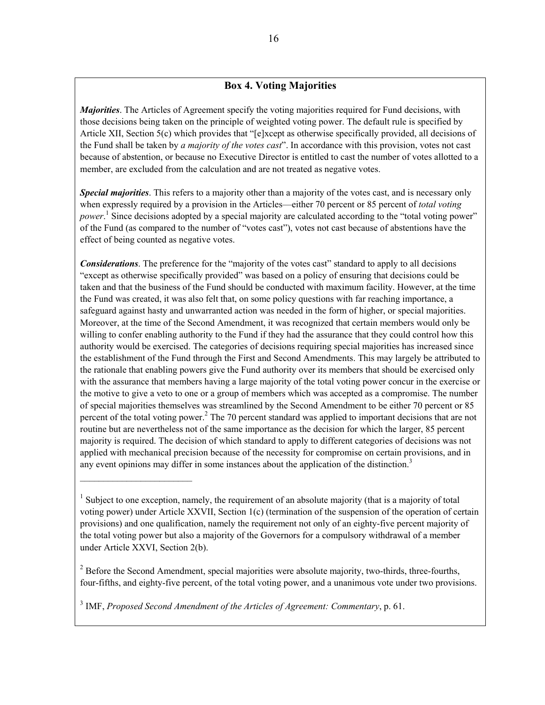## **Box 4. Voting Majorities**

*Majorities*. The Articles of Agreement specify the voting majorities required for Fund decisions, with those decisions being taken on the principle of weighted voting power. The default rule is specified by Article XII, Section 5(c) which provides that "[e]xcept as otherwise specifically provided, all decisions of the Fund shall be taken by *a majority of the votes cast*". In accordance with this provision, votes not cast because of abstention, or because no Executive Director is entitled to cast the number of votes allotted to a member, are excluded from the calculation and are not treated as negative votes.

*Special majorities*. This refers to a majority other than a majority of the votes cast, and is necessary only when expressly required by a provision in the Articles—either 70 percent or 85 percent of *total voting* power.<sup>1</sup> Since decisions adopted by a special majority are calculated according to the "total voting power" of the Fund (as compared to the number of "votes cast"), votes not cast because of abstentions have the effect of being counted as negative votes.

*Considerations*. The preference for the "majority of the votes cast" standard to apply to all decisions "except as otherwise specifically provided" was based on a policy of ensuring that decisions could be taken and that the business of the Fund should be conducted with maximum facility. However, at the time the Fund was created, it was also felt that, on some policy questions with far reaching importance, a safeguard against hasty and unwarranted action was needed in the form of higher, or special majorities. Moreover, at the time of the Second Amendment, it was recognized that certain members would only be willing to confer enabling authority to the Fund if they had the assurance that they could control how this authority would be exercised. The categories of decisions requiring special majorities has increased since the establishment of the Fund through the First and Second Amendments. This may largely be attributed to the rationale that enabling powers give the Fund authority over its members that should be exercised only with the assurance that members having a large majority of the total voting power concur in the exercise or the motive to give a veto to one or a group of members which was accepted as a compromise. The number of special majorities themselves was streamlined by the Second Amendment to be either 70 percent or 85 percent of the total voting power.<sup>2</sup> The 70 percent standard was applied to important decisions that are not routine but are nevertheless not of the same importance as the decision for which the larger, 85 percent majority is required. The decision of which standard to apply to different categories of decisions was not applied with mechanical precision because of the necessity for compromise on certain provisions, and in any event opinions may differ in some instances about the application of the distinction.<sup>3</sup>

 $2^{2}$  Before the Second Amendment, special majorities were absolute majority, two-thirds, three-fourths, four-fifths, and eighty-five percent, of the total voting power, and a unanimous vote under two provisions.

3 IMF, *Proposed Second Amendment of the Articles of Agreement: Commentary*, p. 61.

 $\mathcal{L}_\text{max}$  , where  $\mathcal{L}_\text{max}$  and  $\mathcal{L}_\text{max}$ 

<sup>&</sup>lt;sup>1</sup> Subject to one exception, namely, the requirement of an absolute majority (that is a majority of total voting power) under Article XXVII, Section 1(c) (termination of the suspension of the operation of certain provisions) and one qualification, namely the requirement not only of an eighty-five percent majority of the total voting power but also a majority of the Governors for a compulsory withdrawal of a member under Article XXVI, Section 2(b).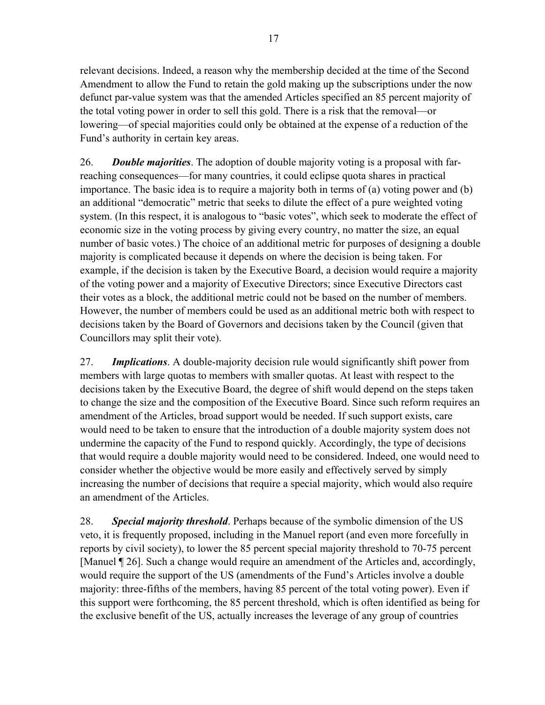relevant decisions. Indeed, a reason why the membership decided at the time of the Second Amendment to allow the Fund to retain the gold making up the subscriptions under the now defunct par-value system was that the amended Articles specified an 85 percent majority of the total voting power in order to sell this gold. There is a risk that the removal—or lowering—of special majorities could only be obtained at the expense of a reduction of the Fund's authority in certain key areas.

26. *Double majorities*. The adoption of double majority voting is a proposal with farreaching consequences—for many countries, it could eclipse quota shares in practical importance. The basic idea is to require a majority both in terms of (a) voting power and (b) an additional "democratic" metric that seeks to dilute the effect of a pure weighted voting system. (In this respect, it is analogous to "basic votes", which seek to moderate the effect of economic size in the voting process by giving every country, no matter the size, an equal number of basic votes.) The choice of an additional metric for purposes of designing a double majority is complicated because it depends on where the decision is being taken. For example, if the decision is taken by the Executive Board, a decision would require a majority of the voting power and a majority of Executive Directors; since Executive Directors cast their votes as a block, the additional metric could not be based on the number of members. However, the number of members could be used as an additional metric both with respect to decisions taken by the Board of Governors and decisions taken by the Council (given that Councillors may split their vote).

27. *Implications*. A double-majority decision rule would significantly shift power from members with large quotas to members with smaller quotas. At least with respect to the decisions taken by the Executive Board, the degree of shift would depend on the steps taken to change the size and the composition of the Executive Board. Since such reform requires an amendment of the Articles, broad support would be needed. If such support exists, care would need to be taken to ensure that the introduction of a double majority system does not undermine the capacity of the Fund to respond quickly. Accordingly, the type of decisions that would require a double majority would need to be considered. Indeed, one would need to consider whether the objective would be more easily and effectively served by simply increasing the number of decisions that require a special majority, which would also require an amendment of the Articles.

28. *Special majority threshold*. Perhaps because of the symbolic dimension of the US veto, it is frequently proposed, including in the Manuel report (and even more forcefully in reports by civil society), to lower the 85 percent special majority threshold to 70-75 percent [Manuel ¶ 26]. Such a change would require an amendment of the Articles and, accordingly, would require the support of the US (amendments of the Fund's Articles involve a double majority: three-fifths of the members, having 85 percent of the total voting power). Even if this support were forthcoming, the 85 percent threshold, which is often identified as being for the exclusive benefit of the US, actually increases the leverage of any group of countries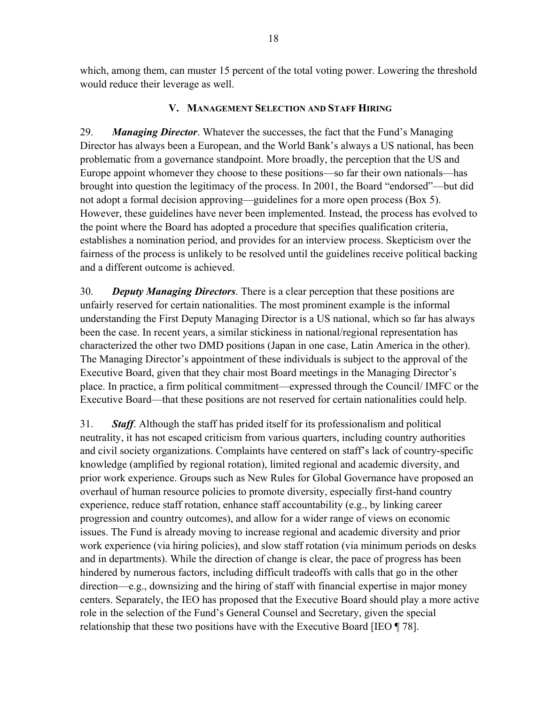which, among them, can muster 15 percent of the total voting power. Lowering the threshold would reduce their leverage as well.

## **V. MANAGEMENT SELECTION AND STAFF HIRING**

<span id="page-17-0"></span>29. *Managing Director*. Whatever the successes, the fact that the Fund's Managing Director has always been a European, and the World Bank's always a US national, has been problematic from a governance standpoint. More broadly, the perception that the US and Europe appoint whomever they choose to these positions—so far their own nationals—has brought into question the legitimacy of the process. In 2001, the Board "endorsed"—but did not adopt a formal decision approving—guidelines for a more open process (Box 5). However, these guidelines have never been implemented. Instead, the process has evolved to the point where the Board has adopted a procedure that specifies qualification criteria, establishes a nomination period, and provides for an interview process. Skepticism over the fairness of the process is unlikely to be resolved until the guidelines receive political backing and a different outcome is achieved.

30. *Deputy Managing Directors*. There is a clear perception that these positions are unfairly reserved for certain nationalities. The most prominent example is the informal understanding the First Deputy Managing Director is a US national, which so far has always been the case. In recent years, a similar stickiness in national/regional representation has characterized the other two DMD positions (Japan in one case, Latin America in the other). The Managing Director's appointment of these individuals is subject to the approval of the Executive Board, given that they chair most Board meetings in the Managing Director's place. In practice, a firm political commitment—expressed through the Council/ IMFC or the Executive Board—that these positions are not reserved for certain nationalities could help.

31. *Staff*. Although the staff has prided itself for its professionalism and political neutrality, it has not escaped criticism from various quarters, including country authorities and civil society organizations. Complaints have centered on staff's lack of country-specific knowledge (amplified by regional rotation), limited regional and academic diversity, and prior work experience. Groups such as New Rules for Global Governance have proposed an overhaul of human resource policies to promote diversity, especially first-hand country experience, reduce staff rotation, enhance staff accountability (e.g., by linking career progression and country outcomes), and allow for a wider range of views on economic issues. The Fund is already moving to increase regional and academic diversity and prior work experience (via hiring policies), and slow staff rotation (via minimum periods on desks and in departments). While the direction of change is clear, the pace of progress has been hindered by numerous factors, including difficult tradeoffs with calls that go in the other direction—e.g., downsizing and the hiring of staff with financial expertise in major money centers. Separately, the IEO has proposed that the Executive Board should play a more active role in the selection of the Fund's General Counsel and Secretary, given the special relationship that these two positions have with the Executive Board [IEO ¶ 78].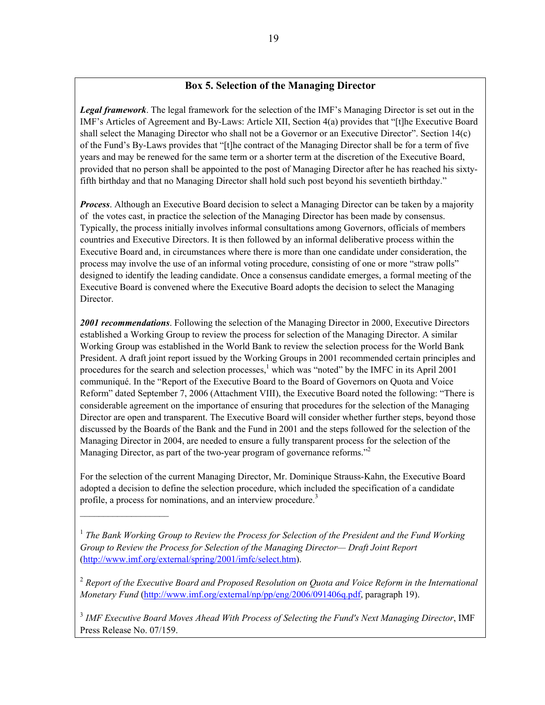## **Box 5. Selection of the Managing Director**

*Legal framework*. The legal framework for the selection of the IMF's Managing Director is set out in the IMF's Articles of Agreement and By-Laws: Article XII, Section 4(a) provides that "[t]he Executive Board shall select the Managing Director who shall not be a Governor or an Executive Director". Section 14(c) of the Fund's By-Laws provides that "[t]he contract of the Managing Director shall be for a term of five years and may be renewed for the same term or a shorter term at the discretion of the Executive Board, provided that no person shall be appointed to the post of Managing Director after he has reached his sixtyfifth birthday and that no Managing Director shall hold such post beyond his seventieth birthday."

*Process*. Although an Executive Board decision to select a Managing Director can be taken by a majority of the votes cast, in practice the selection of the Managing Director has been made by consensus. Typically, the process initially involves informal consultations among Governors, officials of members countries and Executive Directors. It is then followed by an informal deliberative process within the Executive Board and, in circumstances where there is more than one candidate under consideration, the process may involve the use of an informal voting procedure, consisting of one or more "straw polls" designed to identify the leading candidate. Once a consensus candidate emerges, a formal meeting of the Executive Board is convened where the Executive Board adopts the decision to select the Managing Director.

*2001 recommendations*. Following the selection of the Managing Director in 2000, Executive Directors established a Working Group to review the process for selection of the Managing Director. A similar Working Group was established in the World Bank to review the selection process for the World Bank President. A draft joint report issued by the Working Groups in 2001 recommended certain principles and procedures for the search and selection processes,<sup>1</sup> which was "noted" by the IMFC in its April 2001 communiqué. In the "Report of the Executive Board to the Board of Governors on Quota and Voice Reform" dated September 7, 2006 (Attachment VIII), the Executive Board noted the following: "There is considerable agreement on the importance of ensuring that procedures for the selection of the Managing Director are open and transparent. The Executive Board will consider whether further steps, beyond those discussed by the Boards of the Bank and the Fund in 2001 and the steps followed for the selection of the Managing Director in 2004, are needed to ensure a fully transparent process for the selection of the Managing Director, as part of the two-year program of governance reforms."<sup>2</sup>

For the selection of the current Managing Director, Mr. Dominique Strauss-Kahn, the Executive Board adopted a decision to define the selection procedure, which included the specification of a candidate profile, a process for nominations, and an interview procedure.<sup>3</sup>

 $\mathcal{L}=\{1,2,3,4,5\}$ 

<sup>1</sup> The Bank Working Group to Review the Process for Selection of the President and the Fund Working *Group to Review the Process for Selection of the Managing Director— Draft Joint Report* [\(http://www.imf.org/external/spring/2001/imfc/select.htm\)](http://0-www-imf-org.library.svsu.edu/external/spring/2001/imfc/select.htm).

<sup>2</sup> *Report of the Executive Board and Proposed Resolution on Quota and Voice Reform in the International Monetary Fund* ([http://www.imf.org/external/np/pp/eng/2006/091406q.pdf](http://0-www-imf-org.library.svsu.edu/external/np/pp/eng/2006/091406q.pdf), paragraph 19).

<sup>3</sup> *IMF Executive Board Moves Ahead With Process of Selecting the Fund's Next Managing Director*, IMF Press Release No. 07/159.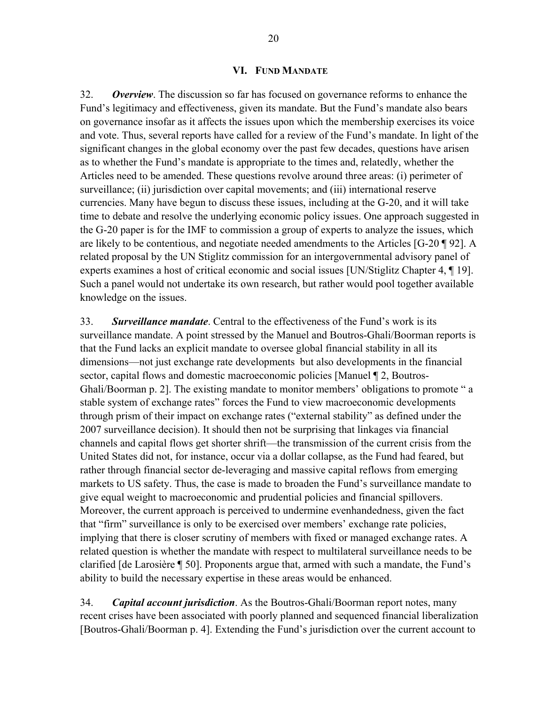#### **VI. FUND MANDATE**

<span id="page-19-0"></span>32. *Overview*. The discussion so far has focused on governance reforms to enhance the Fund's legitimacy and effectiveness, given its mandate. But the Fund's mandate also bears on governance insofar as it affects the issues upon which the membership exercises its voice and vote. Thus, several reports have called for a review of the Fund's mandate. In light of the significant changes in the global economy over the past few decades, questions have arisen as to whether the Fund's mandate is appropriate to the times and, relatedly, whether the Articles need to be amended. These questions revolve around three areas: (i) perimeter of surveillance; (ii) jurisdiction over capital movements; and (iii) international reserve currencies. Many have begun to discuss these issues, including at the G-20, and it will take time to debate and resolve the underlying economic policy issues. One approach suggested in the G-20 paper is for the IMF to commission a group of experts to analyze the issues, which are likely to be contentious, and negotiate needed amendments to the Articles [G-20 ¶ 92]. A related proposal by the UN Stiglitz commission for an intergovernmental advisory panel of experts examines a host of critical economic and social issues [UN/Stiglitz Chapter 4, ¶ 19]. Such a panel would not undertake its own research, but rather would pool together available knowledge on the issues.

33. *Surveillance mandate*. Central to the effectiveness of the Fund's work is its surveillance mandate. A point stressed by the Manuel and Boutros-Ghali/Boorman reports is that the Fund lacks an explicit mandate to oversee global financial stability in all its dimensions—not just exchange rate developments but also developments in the financial sector, capital flows and domestic macroeconomic policies [Manuel ¶ 2, Boutros-Ghali/Boorman p. 2]. The existing mandate to monitor members' obligations to promote " a stable system of exchange rates" forces the Fund to view macroeconomic developments through prism of their impact on exchange rates ("external stability" as defined under the 2007 surveillance decision). It should then not be surprising that linkages via financial channels and capital flows get shorter shrift—the transmission of the current crisis from the United States did not, for instance, occur via a dollar collapse, as the Fund had feared, but rather through financial sector de-leveraging and massive capital reflows from emerging markets to US safety. Thus, the case is made to broaden the Fund's surveillance mandate to give equal weight to macroeconomic and prudential policies and financial spillovers. Moreover, the current approach is perceived to undermine evenhandedness, given the fact that "firm" surveillance is only to be exercised over members' exchange rate policies, implying that there is closer scrutiny of members with fixed or managed exchange rates. A related question is whether the mandate with respect to multilateral surveillance needs to be clarified [de Larosière ¶ 50]. Proponents argue that, armed with such a mandate, the Fund's ability to build the necessary expertise in these areas would be enhanced.

34. *Capital account jurisdiction*. As the Boutros-Ghali/Boorman report notes, many recent crises have been associated with poorly planned and sequenced financial liberalization [Boutros-Ghali/Boorman p. 4]. Extending the Fund's jurisdiction over the current account to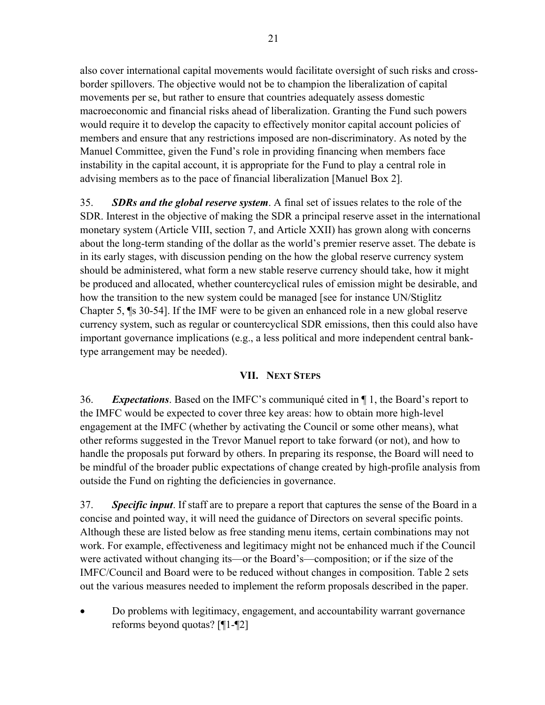also cover international capital movements would facilitate oversight of such risks and crossborder spillovers. The objective would not be to champion the liberalization of capital movements per se, but rather to ensure that countries adequately assess domestic macroeconomic and financial risks ahead of liberalization. Granting the Fund such powers would require it to develop the capacity to effectively monitor capital account policies of members and ensure that any restrictions imposed are non-discriminatory. As noted by the Manuel Committee, given the Fund's role in providing financing when members face instability in the capital account, it is appropriate for the Fund to play a central role in advising members as to the pace of financial liberalization [Manuel Box 2].

35. *SDRs and the global reserve system*. A final set of issues relates to the role of the SDR. Interest in the objective of making the SDR a principal reserve asset in the international monetary system (Article VIII, section 7, and Article XXII) has grown along with concerns about the long-term standing of the dollar as the world's premier reserve asset. The debate is in its early stages, with discussion pending on the how the global reserve currency system should be administered, what form a new stable reserve currency should take, how it might be produced and allocated, whether countercyclical rules of emission might be desirable, and how the transition to the new system could be managed [see for instance UN/Stiglitz Chapter 5, ¶s 30-54]. If the IMF were to be given an enhanced role in a new global reserve currency system, such as regular or countercyclical SDR emissions, then this could also have important governance implications (e.g., a less political and more independent central banktype arrangement may be needed).

## **VII. NEXT STEPS**

<span id="page-20-0"></span>36. *Expectations*. Based on the IMFC's communiqué cited in ¶ 1, the Board's report to the IMFC would be expected to cover three key areas: how to obtain more high-level engagement at the IMFC (whether by activating the Council or some other means), what other reforms suggested in the Trevor Manuel report to take forward (or not), and how to handle the proposals put forward by others. In preparing its response, the Board will need to be mindful of the broader public expectations of change created by high-profile analysis from outside the Fund on righting the deficiencies in governance.

37. *Specific input*. If staff are to prepare a report that captures the sense of the Board in a concise and pointed way, it will need the guidance of Directors on several specific points. Although these are listed below as free standing menu items, certain combinations may not work. For example, effectiveness and legitimacy might not be enhanced much if the Council were activated without changing its—or the Board's—composition; or if the size of the IMFC/Council and Board were to be reduced without changes in composition. Table 2 sets out the various measures needed to implement the reform proposals described in the paper.

 Do problems with legitimacy, engagement, and accountability warrant governance reforms beyond quotas? [¶1-¶2]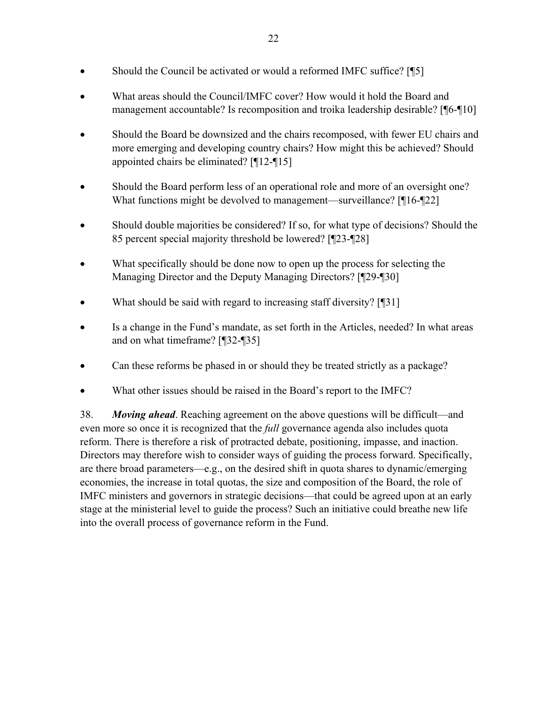- Should the Council be activated or would a reformed IMFC suffice? [¶5]
- What areas should the Council/IMFC cover? How would it hold the Board and management accountable? Is recomposition and troika leadership desirable? [¶6-¶10]
- Should the Board be downsized and the chairs recomposed, with fewer EU chairs and more emerging and developing country chairs? How might this be achieved? Should appointed chairs be eliminated? [¶12-¶15]
- Should the Board perform less of an operational role and more of an oversight one? What functions might be devolved to management—surveillance? [¶16-¶22]
- Should double majorities be considered? If so, for what type of decisions? Should the 85 percent special majority threshold be lowered? [¶23-¶28]
- What specifically should be done now to open up the process for selecting the Managing Director and the Deputy Managing Directors? [¶29-¶30]
- What should be said with regard to increasing staff diversity? [¶31]
- Is a change in the Fund's mandate, as set forth in the Articles, needed? In what areas and on what timeframe? [¶32-¶35]
- Can these reforms be phased in or should they be treated strictly as a package?
- What other issues should be raised in the Board's report to the IMFC?

38. *Moving ahead*. Reaching agreement on the above questions will be difficult—and even more so once it is recognized that the *full* governance agenda also includes quota reform. There is therefore a risk of protracted debate, positioning, impasse, and inaction. Directors may therefore wish to consider ways of guiding the process forward. Specifically, are there broad parameters—e.g., on the desired shift in quota shares to dynamic/emerging economies, the increase in total quotas, the size and composition of the Board, the role of IMFC ministers and governors in strategic decisions—that could be agreed upon at an early stage at the ministerial level to guide the process? Such an initiative could breathe new life into the overall process of governance reform in the Fund.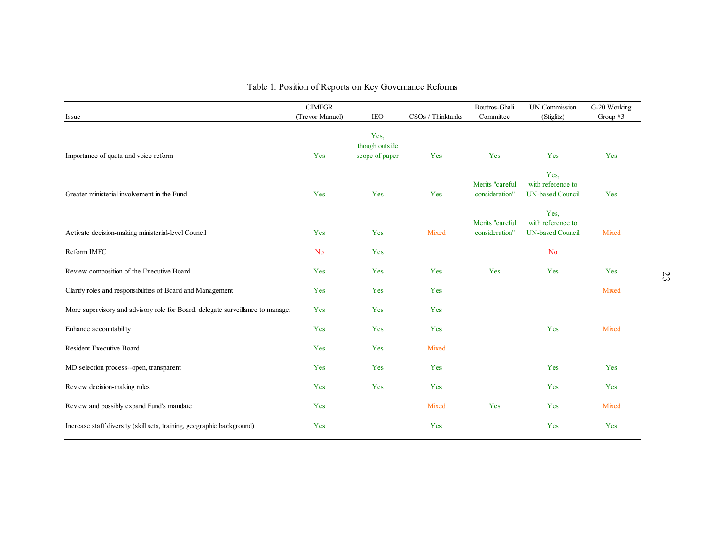| Issue                                                                          | <b>CIMFGR</b><br>(Trevor Manuel) | <b>IEO</b>                               | CSOs / Thinktanks | Boutros-Ghali<br>Committee        | <b>UN Commission</b><br>(Stiglitz)                   | G-20 Working<br>Group $#3$ |
|--------------------------------------------------------------------------------|----------------------------------|------------------------------------------|-------------------|-----------------------------------|------------------------------------------------------|----------------------------|
| Importance of quota and voice reform                                           | Yes                              | Yes,<br>though outside<br>scope of paper | Yes               | Yes                               | Yes                                                  | Yes                        |
| Greater ministerial involvement in the Fund                                    | Yes                              | Yes                                      | Yes               | Merits "careful<br>consideration" | Yes.<br>with reference to<br><b>UN-based Council</b> | Yes                        |
| Activate decision-making ministerial-level Council                             | Yes                              | Yes                                      | Mixed             | Merits "careful<br>consideration" | Yes,<br>with reference to<br><b>UN-based Council</b> | Mixed                      |
| Reform IMFC                                                                    | <b>No</b>                        | Yes                                      |                   |                                   | <b>No</b>                                            |                            |
| Review composition of the Executive Board                                      | Yes                              | Yes                                      | Yes               | Yes                               | Yes                                                  | Yes                        |
| Clarify roles and responsibilities of Board and Management                     | Yes                              | Yes                                      | Yes               |                                   |                                                      | Mixed                      |
| More supervisory and advisory role for Board; delegate surveillance to manager | Yes                              | Yes                                      | Yes               |                                   |                                                      |                            |
| Enhance accountability                                                         | Yes                              | Yes                                      | Yes               |                                   | Yes                                                  | Mixed                      |
| Resident Executive Board                                                       | Yes                              | Yes                                      | Mixed             |                                   |                                                      |                            |
| MD selection process--open, transparent                                        | Yes                              | Yes                                      | Yes               |                                   | Yes                                                  | Yes                        |
| Review decision-making rules                                                   | Yes                              | Yes                                      | Yes               |                                   | Yes                                                  | Yes                        |
| Review and possibly expand Fund's mandate                                      | Yes                              |                                          | Mixed             | Yes                               | Yes                                                  | Mixed                      |
| Increase staff diversity (skill sets, training, geographic background)         | Yes                              |                                          | Yes               |                                   | Yes                                                  | Yes                        |

## Table 1. Position of Reports on Key Governance Reforms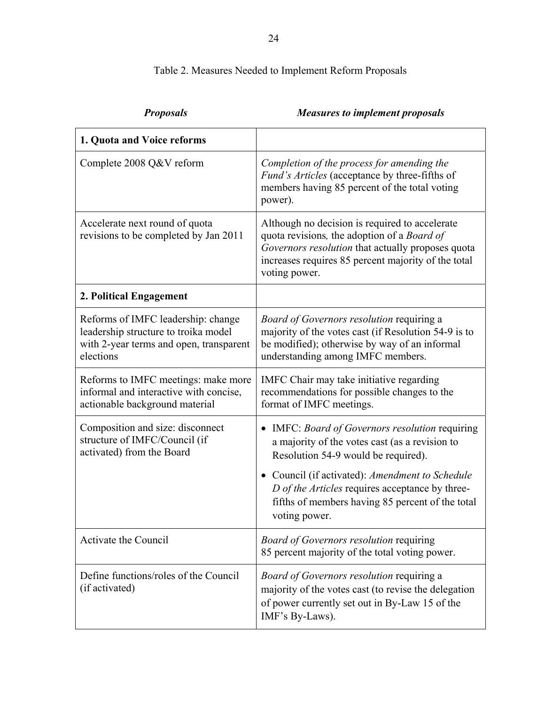# Table 2. Measures Needed to Implement Reform Proposals

| 1. Quota and Voice reforms                                                                                                         |                                                                                                                                                                                                                                                                                                                   |
|------------------------------------------------------------------------------------------------------------------------------------|-------------------------------------------------------------------------------------------------------------------------------------------------------------------------------------------------------------------------------------------------------------------------------------------------------------------|
| Complete 2008 Q&V reform                                                                                                           | Completion of the process for amending the<br>Fund's Articles (acceptance by three-fifths of<br>members having 85 percent of the total voting<br>power).                                                                                                                                                          |
| Accelerate next round of quota<br>revisions to be completed by Jan 2011                                                            | Although no decision is required to accelerate<br>quota revisions, the adoption of a Board of<br>Governors resolution that actually proposes quota<br>increases requires 85 percent majority of the total<br>voting power.                                                                                        |
| 2. Political Engagement                                                                                                            |                                                                                                                                                                                                                                                                                                                   |
| Reforms of IMFC leadership: change<br>leadership structure to troika model<br>with 2-year terms and open, transparent<br>elections | Board of Governors resolution requiring a<br>majority of the votes cast (if Resolution 54-9 is to<br>be modified); otherwise by way of an informal<br>understanding among IMFC members.                                                                                                                           |
| Reforms to IMFC meetings: make more<br>informal and interactive with concise,<br>actionable background material                    | IMFC Chair may take initiative regarding<br>recommendations for possible changes to the<br>format of IMFC meetings.                                                                                                                                                                                               |
| Composition and size: disconnect<br>structure of IMFC/Council (if<br>activated) from the Board                                     | IMFC: Board of Governors resolution requiring<br>a majority of the votes cast (as a revision to<br>Resolution 54-9 would be required).<br>• Council (if activated): Amendment to Schedule<br>D of the Articles requires acceptance by three-<br>fifths of members having 85 percent of the total<br>voting power. |
| Activate the Council                                                                                                               | <b>Board of Governors resolution requiring</b><br>85 percent majority of the total voting power.                                                                                                                                                                                                                  |
| Define functions/roles of the Council<br>(if activated)                                                                            | <b>Board of Governors resolution requiring a</b><br>majority of the votes cast (to revise the delegation<br>of power currently set out in By-Law 15 of the<br>IMF's By-Laws).                                                                                                                                     |

# *Proposals Measures to implement proposals*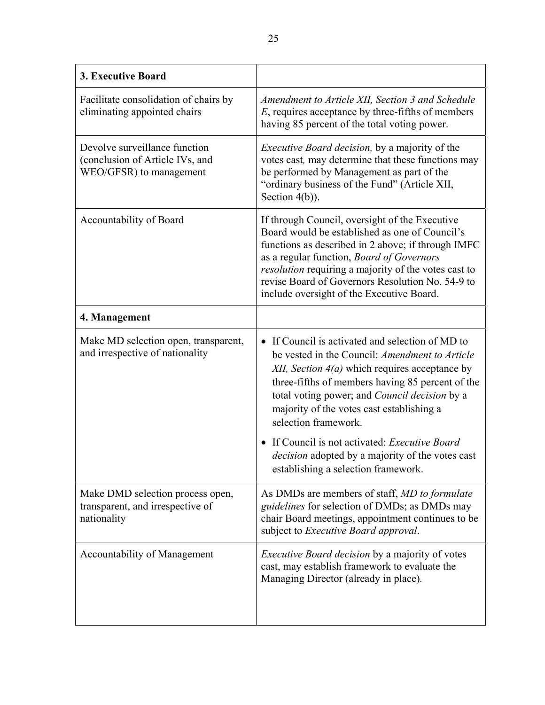| <b>3. Executive Board</b>                                                                   |                                                                                                                                                                                                                                                                                                                                                                                                                                                                                                |
|---------------------------------------------------------------------------------------------|------------------------------------------------------------------------------------------------------------------------------------------------------------------------------------------------------------------------------------------------------------------------------------------------------------------------------------------------------------------------------------------------------------------------------------------------------------------------------------------------|
| Facilitate consolidation of chairs by<br>eliminating appointed chairs                       | Amendment to Article XII, Section 3 and Schedule<br>$E$ , requires acceptance by three-fifths of members<br>having 85 percent of the total voting power.                                                                                                                                                                                                                                                                                                                                       |
| Devolve surveillance function<br>(conclusion of Article IVs, and<br>WEO/GFSR) to management | <i>Executive Board decision</i> , by a majority of the<br>votes cast, may determine that these functions may<br>be performed by Management as part of the<br>"ordinary business of the Fund" (Article XII,<br>Section $4(b)$ ).                                                                                                                                                                                                                                                                |
| Accountability of Board                                                                     | If through Council, oversight of the Executive<br>Board would be established as one of Council's<br>functions as described in 2 above; if through IMFC<br>as a regular function, Board of Governors<br><i>resolution</i> requiring a majority of the votes cast to<br>revise Board of Governors Resolution No. 54-9 to<br>include oversight of the Executive Board.                                                                                                                            |
| 4. Management                                                                               |                                                                                                                                                                                                                                                                                                                                                                                                                                                                                                |
| Make MD selection open, transparent,<br>and irrespective of nationality                     | If Council is activated and selection of MD to<br>be vested in the Council: Amendment to Article<br>XII, Section $4(a)$ which requires acceptance by<br>three-fifths of members having 85 percent of the<br>total voting power; and <i>Council decision</i> by a<br>majority of the votes cast establishing a<br>selection framework.<br>If Council is not activated: <i>Executive Board</i><br><i>decision</i> adopted by a majority of the votes cast<br>establishing a selection framework. |
| Make DMD selection process open,<br>transparent, and irrespective of<br>nationality         | As DMDs are members of staff, MD to formulate<br>guidelines for selection of DMDs; as DMDs may<br>chair Board meetings, appointment continues to be<br>subject to <i>Executive Board approval</i> .                                                                                                                                                                                                                                                                                            |
| Accountability of Management                                                                | Executive Board decision by a majority of votes<br>cast, may establish framework to evaluate the<br>Managing Director (already in place).                                                                                                                                                                                                                                                                                                                                                      |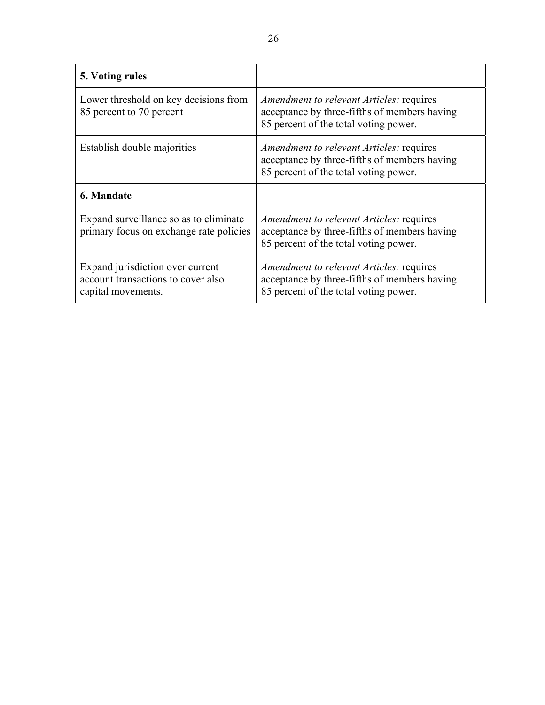| 5. Voting rules                                                                              |                                                                                                                                          |
|----------------------------------------------------------------------------------------------|------------------------------------------------------------------------------------------------------------------------------------------|
| Lower threshold on key decisions from<br>85 percent to 70 percent                            | <i>Amendment to relevant Articles: requires</i><br>acceptance by three-fifths of members having<br>85 percent of the total voting power. |
| Establish double majorities                                                                  | <i>Amendment to relevant Articles:</i> requires<br>acceptance by three-fifths of members having<br>85 percent of the total voting power. |
| 6. Mandate                                                                                   |                                                                                                                                          |
| Expand surveillance so as to eliminate<br>primary focus on exchange rate policies            | <i>Amendment to relevant Articles: requires</i><br>acceptance by three-fifths of members having<br>85 percent of the total voting power. |
| Expand jurisdiction over current<br>account transactions to cover also<br>capital movements. | Amendment to relevant Articles: requires<br>acceptance by three-fifths of members having<br>85 percent of the total voting power.        |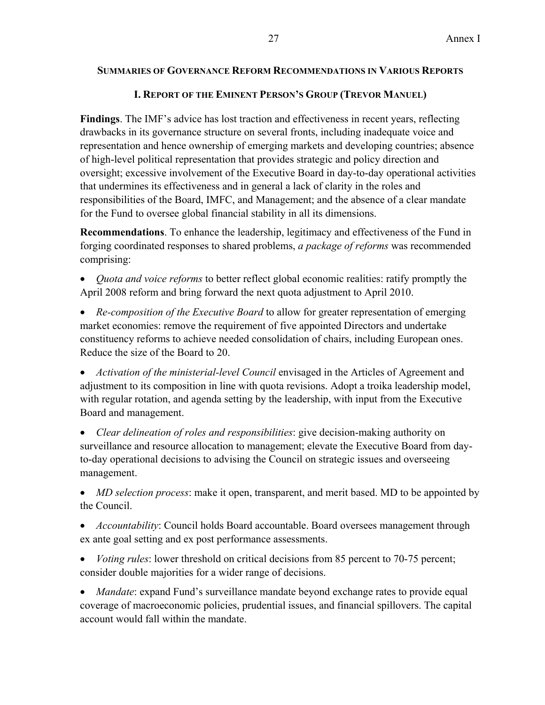## **SUMMARIES OF GOVERNANCE REFORM RECOMMENDATIONS IN VARIOUS REPORTS**

## **I. REPORT OF THE EMINENT PERSON'S GROUP (TREVOR MANUEL)**

**Findings**. The IMF's advice has lost traction and effectiveness in recent years, reflecting drawbacks in its governance structure on several fronts, including inadequate voice and representation and hence ownership of emerging markets and developing countries; absence of high-level political representation that provides strategic and policy direction and oversight; excessive involvement of the Executive Board in day-to-day operational activities that undermines its effectiveness and in general a lack of clarity in the roles and responsibilities of the Board, IMFC, and Management; and the absence of a clear mandate for the Fund to oversee global financial stability in all its dimensions.

**Recommendations**. To enhance the leadership, legitimacy and effectiveness of the Fund in forging coordinated responses to shared problems, *a package of reforms* was recommended comprising:

- *Quota and voice reforms* to better reflect global economic realities: ratify promptly the April 2008 reform and bring forward the next quota adjustment to April 2010.
- *Re-composition of the Executive Board* to allow for greater representation of emerging market economies: remove the requirement of five appointed Directors and undertake constituency reforms to achieve needed consolidation of chairs, including European ones. Reduce the size of the Board to 20.

 *Activation of the ministerial-level Council* envisaged in the Articles of Agreement and adjustment to its composition in line with quota revisions. Adopt a troika leadership model, with regular rotation, and agenda setting by the leadership, with input from the Executive Board and management.

 *Clear delineation of roles and responsibilities*: give decision-making authority on surveillance and resource allocation to management; elevate the Executive Board from dayto-day operational decisions to advising the Council on strategic issues and overseeing management.

 *MD selection process*: make it open, transparent, and merit based. MD to be appointed by the Council.

- *Accountability*: Council holds Board accountable. Board oversees management through ex ante goal setting and ex post performance assessments.
- *Voting rules*: lower threshold on critical decisions from 85 percent to 70-75 percent; consider double majorities for a wider range of decisions.

 *Mandate*: expand Fund's surveillance mandate beyond exchange rates to provide equal coverage of macroeconomic policies, prudential issues, and financial spillovers. The capital account would fall within the mandate.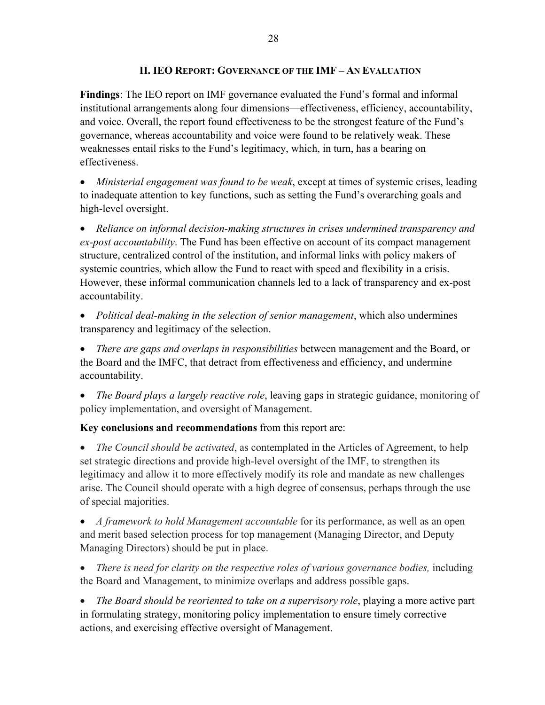## **II. IEO REPORT: GOVERNANCE OF THE IMF – AN EVALUATION**

**Findings**: The IEO report on IMF governance evaluated the Fund's formal and informal institutional arrangements along four dimensions—effectiveness, efficiency, accountability, and voice. Overall, the report found effectiveness to be the strongest feature of the Fund's governance, whereas accountability and voice were found to be relatively weak. These weaknesses entail risks to the Fund's legitimacy, which, in turn, has a bearing on effectiveness.

 *Ministerial engagement was found to be weak*, except at times of systemic crises, leading to inadequate attention to key functions, such as setting the Fund's overarching goals and high-level oversight.

 *Reliance on informal decision-making structures in crises undermined transparency and ex-post accountability*. The Fund has been effective on account of its compact management structure, centralized control of the institution, and informal links with policy makers of systemic countries, which allow the Fund to react with speed and flexibility in a crisis. However, these informal communication channels led to a lack of transparency and ex-post accountability.

 *Political deal-making in the selection of senior management*, which also undermines transparency and legitimacy of the selection.

 *There are gaps and overlaps in responsibilities* between management and the Board, or the Board and the IMFC, that detract from effectiveness and efficiency, and undermine accountability.

 *The Board plays a largely reactive role*, leaving gaps in strategic guidance, monitoring of policy implementation, and oversight of Management.

**Key conclusions and recommendations** from this report are:

• *The Council should be activated*, as contemplated in the Articles of Agreement, to help set strategic directions and provide high-level oversight of the IMF, to strengthen its legitimacy and allow it to more effectively modify its role and mandate as new challenges arise. The Council should operate with a high degree of consensus, perhaps through the use of special majorities.

 *A framework to hold Management accountable* for its performance, as well as an open and merit based selection process for top management (Managing Director, and Deputy Managing Directors) should be put in place.

 *There is need for clarity on the respective roles of various governance bodies,* including the Board and Management, to minimize overlaps and address possible gaps.

• *The Board should be reoriented to take on a supervisory role*, playing a more active part in formulating strategy, monitoring policy implementation to ensure timely corrective actions, and exercising effective oversight of Management.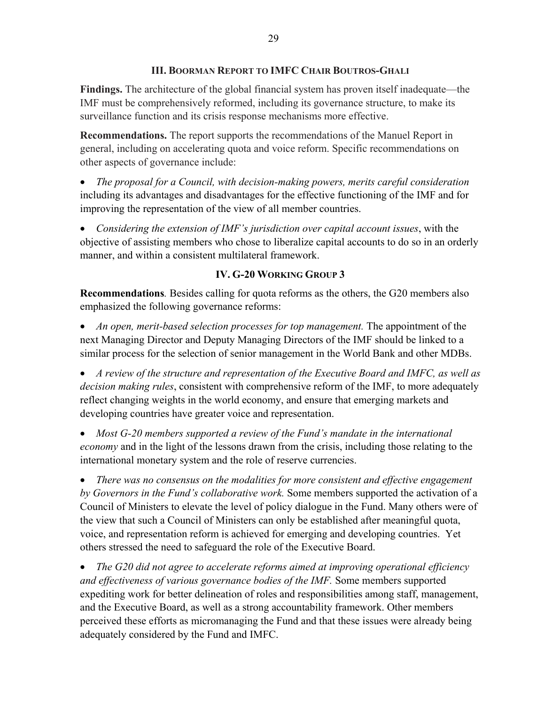**Findings.** The architecture of the global financial system has proven itself inadequate—the IMF must be comprehensively reformed, including its governance structure, to make its surveillance function and its crisis response mechanisms more effective.

**Recommendations.** The report supports the recommendations of the Manuel Report in general, including on accelerating quota and voice reform. Specific recommendations on other aspects of governance include:

 *The proposal for a Council, with decision-making powers, merits careful consideration* including its advantages and disadvantages for the effective functioning of the IMF and for improving the representation of the view of all member countries.

 *Considering the extension of IMF's jurisdiction over capital account issues*, with the objective of assisting members who chose to liberalize capital accounts to do so in an orderly manner, and within a consistent multilateral framework.

# **IV. G-20 WORKING GROUP 3**

**Recommendations***.* Besides calling for quota reforms as the others, the G20 members also emphasized the following governance reforms:

 *An open, merit-based selection processes for top management.* The appointment of the next Managing Director and Deputy Managing Directors of the IMF should be linked to a similar process for the selection of senior management in the World Bank and other MDBs.

 *A review of the structure and representation of the Executive Board and IMFC, as well as decision making rules*, consistent with comprehensive reform of the IMF, to more adequately reflect changing weights in the world economy, and ensure that emerging markets and developing countries have greater voice and representation.

 *Most G-20 members supported a review of the Fund's mandate in the international economy* and in the light of the lessons drawn from the crisis, including those relating to the international monetary system and the role of reserve currencies.

 *There was no consensus on the modalities for more consistent and effective engagement by Governors in the Fund's collaborative work.* Some members supported the activation of a Council of Ministers to elevate the level of policy dialogue in the Fund. Many others were of the view that such a Council of Ministers can only be established after meaningful quota, voice, and representation reform is achieved for emerging and developing countries. Yet others stressed the need to safeguard the role of the Executive Board.

 *The G20 did not agree to accelerate reforms aimed at improving operational efficiency and effectiveness of various governance bodies of the IMF.* Some members supported expediting work for better delineation of roles and responsibilities among staff, management, and the Executive Board, as well as a strong accountability framework. Other members perceived these efforts as micromanaging the Fund and that these issues were already being adequately considered by the Fund and IMFC.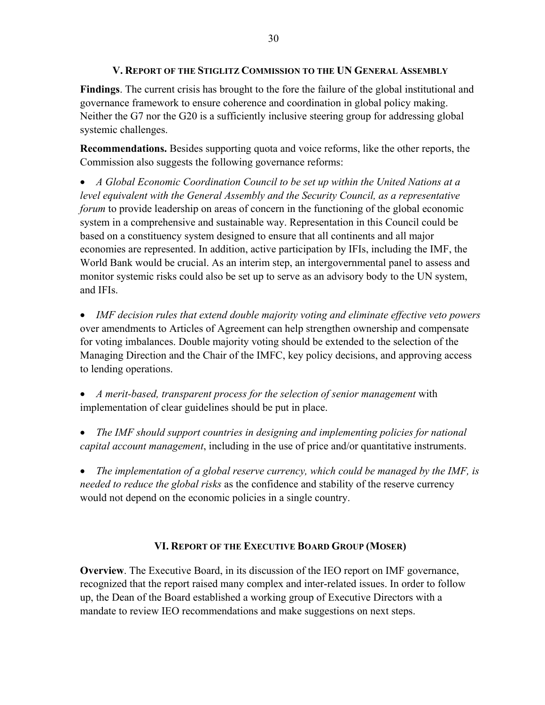## **V. REPORT OF THE STIGLITZ COMMISSION TO THE UN GENERAL ASSEMBLY**

**Findings**. The current crisis has brought to the fore the failure of the global institutional and governance framework to ensure coherence and coordination in global policy making. Neither the G7 nor the G20 is a sufficiently inclusive steering group for addressing global systemic challenges.

**Recommendations.** Besides supporting quota and voice reforms, like the other reports, the Commission also suggests the following governance reforms:

 *A Global Economic Coordination Council to be set up within the United Nations at a level equivalent with the General Assembly and the Security Council, as a representative forum* to provide leadership on areas of concern in the functioning of the global economic system in a comprehensive and sustainable way. Representation in this Council could be based on a constituency system designed to ensure that all continents and all major economies are represented. In addition, active participation by IFIs, including the IMF, the World Bank would be crucial. As an interim step, an intergovernmental panel to assess and monitor systemic risks could also be set up to serve as an advisory body to the UN system, and IFIs.

 *IMF decision rules that extend double majority voting and eliminate effective veto powers* over amendments to Articles of Agreement can help strengthen ownership and compensate for voting imbalances. Double majority voting should be extended to the selection of the Managing Direction and the Chair of the IMFC, key policy decisions, and approving access to lending operations.

 *A merit-based, transparent process for the selection of senior management* with implementation of clear guidelines should be put in place.

 *The IMF should support countries in designing and implementing policies for national capital account management*, including in the use of price and/or quantitative instruments.

 *The implementation of a global reserve currency, which could be managed by the IMF, is needed to reduce the global risks* as the confidence and stability of the reserve currency would not depend on the economic policies in a single country.

## **VI. REPORT OF THE EXECUTIVE BOARD GROUP (MOSER)**

**Overview**. The Executive Board, in its discussion of the IEO report on IMF governance, recognized that the report raised many complex and inter-related issues. In order to follow up, the Dean of the Board established a working group of Executive Directors with a mandate to review IEO recommendations and make suggestions on next steps.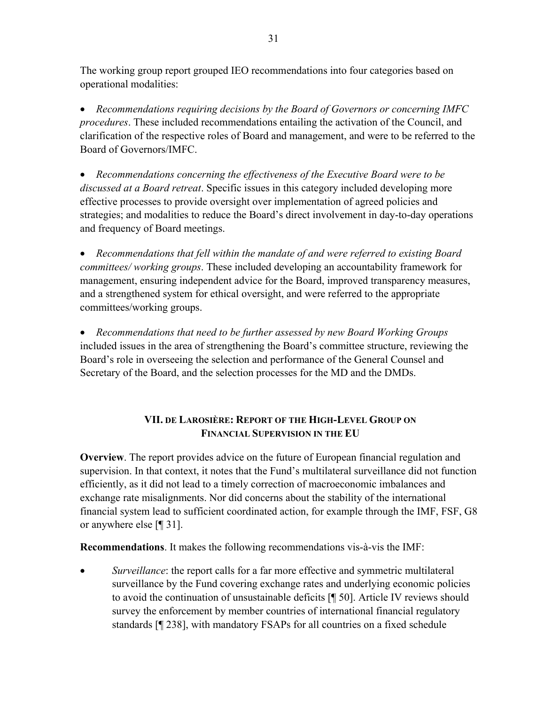The working group report grouped IEO recommendations into four categories based on operational modalities:

 *Recommendations requiring decisions by the Board of Governors or concerning IMFC procedures*. These included recommendations entailing the activation of the Council, and clarification of the respective roles of Board and management, and were to be referred to the Board of Governors/IMFC.

 *Recommendations concerning the effectiveness of the Executive Board were to be discussed at a Board retreat*. Specific issues in this category included developing more effective processes to provide oversight over implementation of agreed policies and strategies; and modalities to reduce the Board's direct involvement in day-to-day operations and frequency of Board meetings.

 *Recommendations that fell within the mandate of and were referred to existing Board committees/ working groups*. These included developing an accountability framework for management, ensuring independent advice for the Board, improved transparency measures, and a strengthened system for ethical oversight, and were referred to the appropriate committees/working groups.

 *Recommendations that need to be further assessed by new Board Working Groups*  included issues in the area of strengthening the Board's committee structure, reviewing the Board's role in overseeing the selection and performance of the General Counsel and Secretary of the Board, and the selection processes for the MD and the DMDs.

# **VII. DE LAROSIÈRE: REPORT OF THE HIGH-LEVEL GROUP ON FINANCIAL SUPERVISION IN THE EU**

**Overview**. The report provides advice on the future of European financial regulation and supervision. In that context, it notes that the Fund's multilateral surveillance did not function efficiently, as it did not lead to a timely correction of macroeconomic imbalances and exchange rate misalignments. Nor did concerns about the stability of the international financial system lead to sufficient coordinated action, for example through the IMF, FSF, G8 or anywhere else [¶ 31].

**Recommendations**. It makes the following recommendations vis-à-vis the IMF:

 *Surveillance*: the report calls for a far more effective and symmetric multilateral surveillance by the Fund covering exchange rates and underlying economic policies to avoid the continuation of unsustainable deficits [¶ 50]. Article IV reviews should survey the enforcement by member countries of international financial regulatory standards [¶ 238], with mandatory FSAPs for all countries on a fixed schedule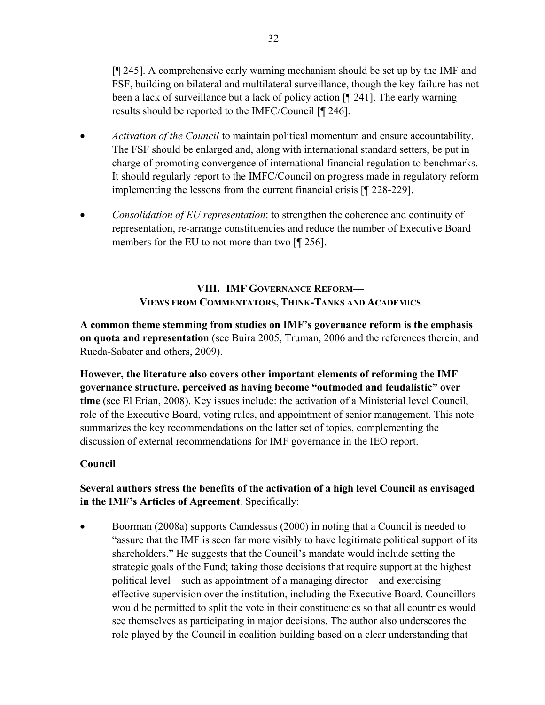[¶ 245]. A comprehensive early warning mechanism should be set up by the IMF and FSF, building on bilateral and multilateral surveillance, though the key failure has not been a lack of surveillance but a lack of policy action [¶ 241]. The early warning results should be reported to the IMFC/Council [¶ 246].

- *Activation of the Council* to maintain political momentum and ensure accountability. The FSF should be enlarged and, along with international standard setters, be put in charge of promoting convergence of international financial regulation to benchmarks. It should regularly report to the IMFC/Council on progress made in regulatory reform implementing the lessons from the current financial crisis [¶ 228-229].
- *Consolidation of EU representation*: to strengthen the coherence and continuity of representation, re-arrange constituencies and reduce the number of Executive Board members for the EU to not more than two [¶ 256].

# **VIII. IMF GOVERNANCE REFORM— VIEWS FROM COMMENTATORS, THINK-TANKS AND ACADEMICS**

**A common theme stemming from studies on IMF's governance reform is the emphasis on quota and representation** (see Buira 2005, Truman, 2006 and the references therein, and Rueda-Sabater and others, 2009).

**However, the literature also covers other important elements of reforming the IMF governance structure, perceived as having become "outmoded and feudalistic" over time** (see El Erian, 2008). Key issues include: the activation of a Ministerial level Council, role of the Executive Board, voting rules, and appointment of senior management. This note summarizes the key recommendations on the latter set of topics, complementing the discussion of external recommendations for IMF governance in the IEO report.

# **Council**

# **Several authors stress the benefits of the activation of a high level Council as envisaged in the IMF's Articles of Agreement**. Specifically:

 Boorman (2008a) supports Camdessus (2000) in noting that a Council is needed to "assure that the IMF is seen far more visibly to have legitimate political support of its shareholders." He suggests that the Council's mandate would include setting the strategic goals of the Fund; taking those decisions that require support at the highest political level—such as appointment of a managing director—and exercising effective supervision over the institution, including the Executive Board. Councillors would be permitted to split the vote in their constituencies so that all countries would see themselves as participating in major decisions. The author also underscores the role played by the Council in coalition building based on a clear understanding that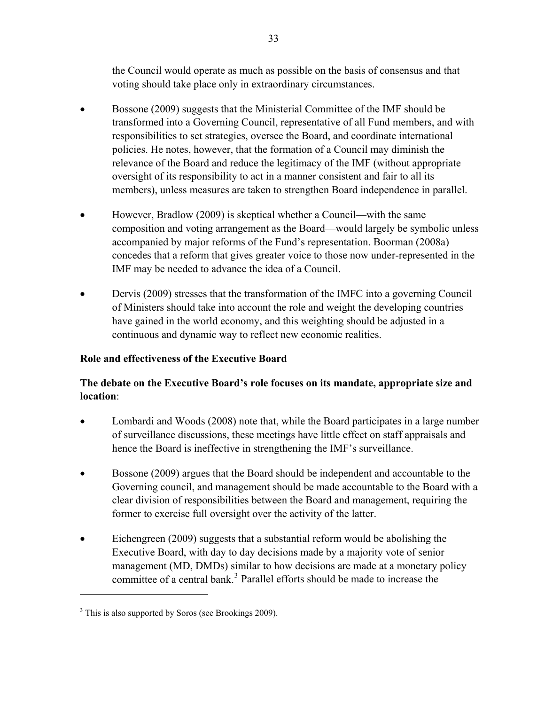the Council would operate as much as possible on the basis of consensus and that voting should take place only in extraordinary circumstances.

- Bossone (2009) suggests that the Ministerial Committee of the IMF should be transformed into a Governing Council, representative of all Fund members, and with responsibilities to set strategies, oversee the Board, and coordinate international policies. He notes, however, that the formation of a Council may diminish the relevance of the Board and reduce the legitimacy of the IMF (without appropriate oversight of its responsibility to act in a manner consistent and fair to all its members), unless measures are taken to strengthen Board independence in parallel.
- However, Bradlow (2009) is skeptical whether a Council—with the same composition and voting arrangement as the Board—would largely be symbolic unless accompanied by major reforms of the Fund's representation. Boorman (2008a) concedes that a reform that gives greater voice to those now under-represented in the IMF may be needed to advance the idea of a Council.
- Dervis (2009) stresses that the transformation of the IMFC into a governing Council of Ministers should take into account the role and weight the developing countries have gained in the world economy, and this weighting should be adjusted in a continuous and dynamic way to reflect new economic realities.

## **Role and effectiveness of the Executive Board**

# **The debate on the Executive Board's role focuses on its mandate, appropriate size and location**:

- Lombardi and Woods (2008) note that, while the Board participates in a large number of surveillance discussions, these meetings have little effect on staff appraisals and hence the Board is ineffective in strengthening the IMF's surveillance.
- Bossone (2009) argues that the Board should be independent and accountable to the Governing council, and management should be made accountable to the Board with a clear division of responsibilities between the Board and management, requiring the former to exercise full oversight over the activity of the latter.
- management ( MD, DMDs) similar to how decisions are made at a monetary policy committee of a central bank.<sup>[3](#page-32-0)</sup> Parallel efforts should be made to increase the Eichengreen (2009) suggests that a substantial reform would be abolishing the Executive Board, with day to day decisions made by a majority vote of senior

<span id="page-32-0"></span><sup>&</sup>lt;sup>3</sup> This is also supported by Soros (see Brookings 2009).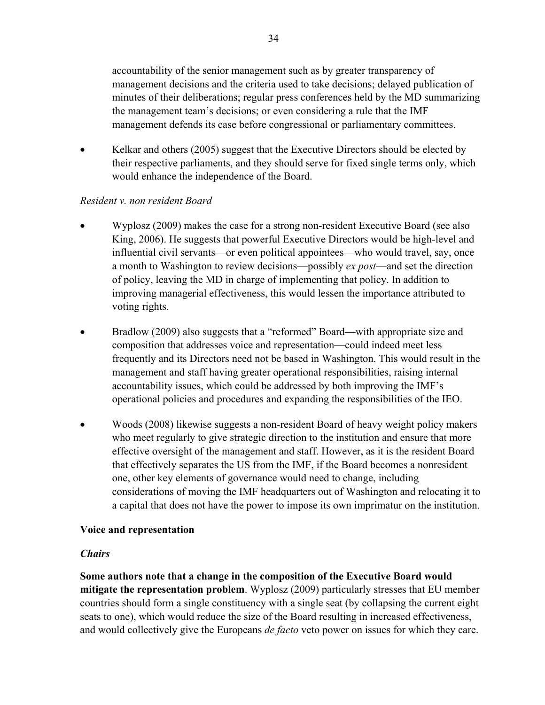accountability of the senior management such as by greater transparency of management decisions and the criteria used to take decisions; delayed publication of minutes of their deliberations; regular press conferences held by the MD summarizing the management team's decisions; or even considering a rule that the IMF management defends its case before congressional or parliamentary committees.

• Kelkar and others (2005) suggest that the Executive Directors should be elected by their respective parliaments, and they should serve for fixed single terms only, which would enhance the independence of the Board.

## *Resident v. non resident Board*

- Wyplosz (2009) makes the case for a strong non-resident Executive Board (see also King, 2006). He suggests that powerful Executive Directors would be high-level and influential civil servants—or even political appointees—who would travel, say, once a month to Washington to review decisions—possibly *ex post*—and set the direction of policy, leaving the MD in charge of implementing that policy. In addition to improving managerial effectiveness, this would lessen the importance attributed to voting rights.
- Bradlow (2009) also suggests that a "reformed" Board—with appropriate size and composition that addresses voice and representation—could indeed meet less frequently and its Directors need not be based in Washington. This would result in the management and staff having greater operational responsibilities, raising internal accountability issues, which could be addressed by both improving the IMF's operational policies and procedures and expanding the responsibilities of the IEO.
- Woods (2008) likewise suggests a non-resident Board of heavy weight policy makers who meet regularly to give strategic direction to the institution and ensure that more effective oversight of the management and staff. However, as it is the resident Board that effectively separates the US from the IMF, if the Board becomes a nonresident one, other key elements of governance would need to change, including considerations of moving the IMF headquarters out of Washington and relocating it to a capital that does not have the power to impose its own imprimatur on the institution.

## **Voice and representation**

## *Chairs*

**Some authors note that a change in the composition of the Executive Board would mitigate the representation problem**. Wyplosz (2009) particularly stresses that EU member countries should form a single constituency with a single seat (by collapsing the current eight seats to one), which would reduce the size of the Board resulting in increased effectiveness, and would collectively give the Europeans *de facto* veto power on issues for which they care.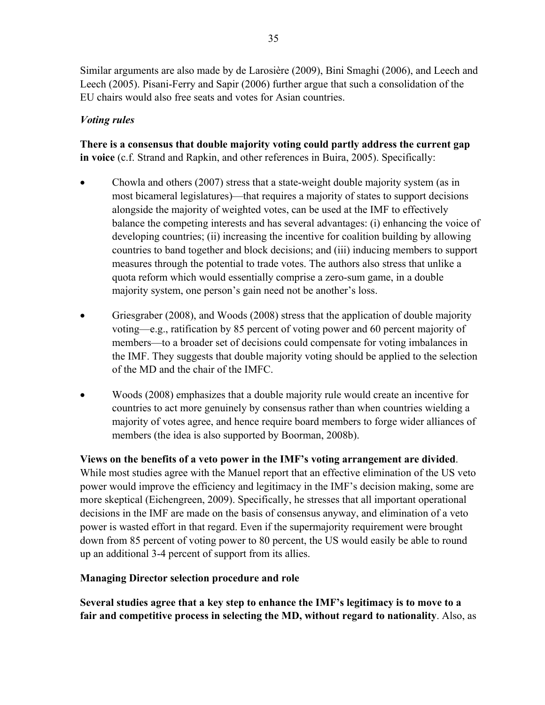Similar arguments are also made by de Larosière (2009), Bini Smaghi (2006), and Leech and Leech (2005). Pisani-Ferry and Sapir (2006) further argue that such a consolidation of the EU chairs would also free seats and votes for Asian countries.

# *Voting rules*

**There is a consensus that double majority voting could partly address the current gap in voice** (c.f. Strand and Rapkin, and other references in Buira, 2005). Specifically:

- Chowla and others (2007) stress that a state-weight double majority system (as in most bicameral legislatures)—that requires a majority of states to support decisions alongside the majority of weighted votes, can be used at the IMF to effectively balance the competing interests and has several advantages: (i) enhancing the voice of developing countries; (ii) increasing the incentive for coalition building by allowing countries to band together and block decisions; and (iii) inducing members to support measures through the potential to trade votes. The authors also stress that unlike a quota reform which would essentially comprise a zero-sum game, in a double majority system, one person's gain need not be another's loss.
- Griesgraber (2008), and Woods (2008) stress that the application of double majority voting—e.g., ratification by 85 percent of voting power and 60 percent majority of members—to a broader set of decisions could compensate for voting imbalances in the IMF. They suggests that double majority voting should be applied to the selection of the MD and the chair of the IMFC.
- Woods (2008) emphasizes that a double majority rule would create an incentive for countries to act more genuinely by consensus rather than when countries wielding a majority of votes agree, and hence require board members to forge wider alliances of members (the idea is also supported by Boorman, 2008b).

**Views on the benefits of a veto power in the IMF's voting arrangement are divided**. While most studies agree with the Manuel report that an effective elimination of the US veto power would improve the efficiency and legitimacy in the IMF's decision making, some are more skeptical (Eichengreen, 2009). Specifically, he stresses that all important operational decisions in the IMF are made on the basis of consensus anyway, and elimination of a veto power is wasted effort in that regard. Even if the supermajority requirement were brought down from 85 percent of voting power to 80 percent, the US would easily be able to round up an additional 3-4 percent of support from its allies.

## **Managing Director selection procedure and role**

**Several studies agree that a key step to enhance the IMF's legitimacy is to move to a fair and competitive process in selecting the MD, without regard to nationality**. Also, as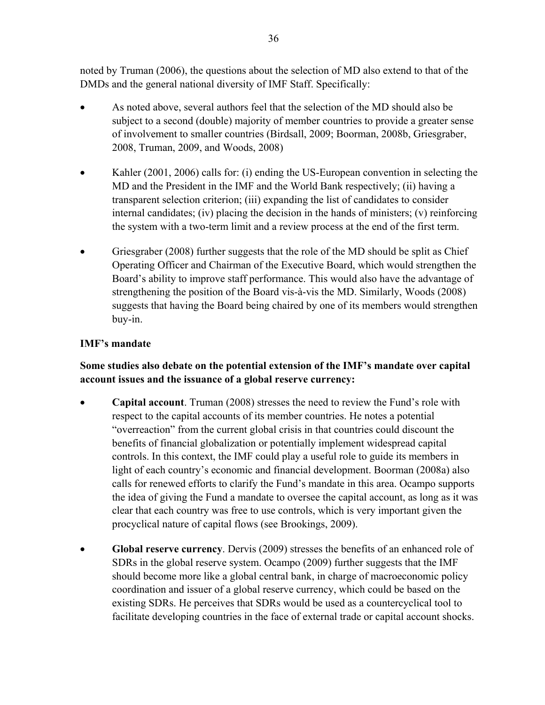noted by Truman (2006), the questions about the selection of MD also extend to that of the DMDs and the general national diversity of IMF Staff. Specifically:

- As noted above, several authors feel that the selection of the MD should also be subject to a second (double) majority of member countries to provide a greater sense of involvement to smaller countries (Birdsall, 2009; Boorman, 2008b, Griesgraber, 2008, Truman, 2009, and Woods, 2008)
- Kahler (2001, 2006) calls for: (i) ending the US-European convention in selecting the MD and the President in the IMF and the World Bank respectively; (ii) having a transparent selection criterion; (iii) expanding the list of candidates to consider internal candidates; (iv) placing the decision in the hands of ministers; (v) reinforcing the system with a two-term limit and a review process at the end of the first term.
- Griesgraber (2008) further suggests that the role of the MD should be split as Chief Operating Officer and Chairman of the Executive Board, which would strengthen the Board's ability to improve staff performance. This would also have the advantage of strengthening the position of the Board vis-à-vis the MD. Similarly, Woods (2008) suggests that having the Board being chaired by one of its members would strengthen buy-in.

## **IMF's mandate**

# **Some studies also debate on the potential extension of the IMF's mandate over capital account issues and the issuance of a global reserve currency:**

- **Capital account**. Truman (2008) stresses the need to review the Fund's role with respect to the capital accounts of its member countries. He notes a potential "overreaction" from the current global crisis in that countries could discount the benefits of financial globalization or potentially implement widespread capital controls. In this context, the IMF could play a useful role to guide its members in light of each country's economic and financial development. Boorman (2008a) also calls for renewed efforts to clarify the Fund's mandate in this area. Ocampo supports the idea of giving the Fund a mandate to oversee the capital account, as long as it was clear that each country was free to use controls, which is very important given the procyclical nature of capital flows (see Brookings, 2009).
- **Global reserve currency**. Dervis (2009) stresses the benefits of an enhanced role of SDRs in the global reserve system. Ocampo (2009) further suggests that the IMF should become more like a global central bank, in charge of macroeconomic policy coordination and issuer of a global reserve currency, which could be based on the existing SDRs. He perceives that SDRs would be used as a countercyclical tool to facilitate developing countries in the face of external trade or capital account shocks.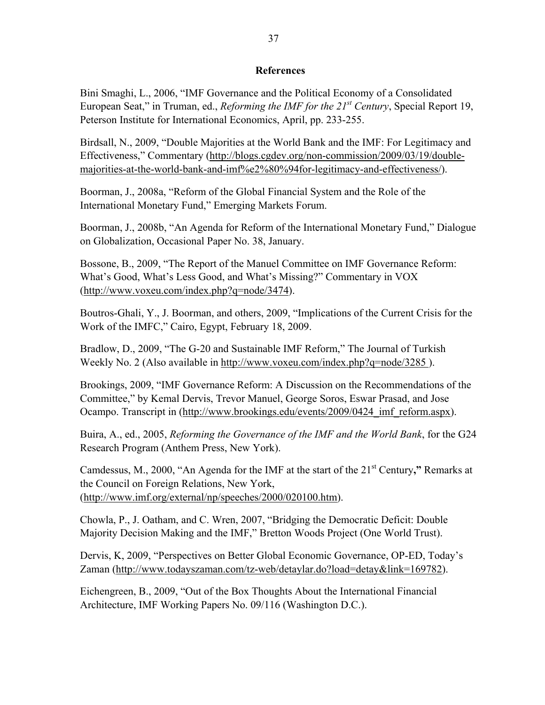#### **References**

Bini Smaghi, L., 2006, "IMF Governance and the Political Economy of a Consolidated European Seat," in Truman, ed., *Reforming the IMF for the 21st Century*, Special Report 19, Peterson Institute for International Economics, April, pp. 233-255.

Birdsall, N., 2009, "Double Majorities at the World Bank and the IMF: For Legitimacy and Effectiveness," Commentary ([http://blogs.cgdev.org/non-commission/2009/03/19/double](http://blogs.cgdev.org/non-commission/2009/03/19/double-majorities-at-the-world-bank-and-imf%e2%80%94for-legitimacy-and-effectiveness/)[majorities-at-the-world-bank-and-imf%e2%80%94for-legitimacy-and-effectiveness/\)](http://blogs.cgdev.org/non-commission/2009/03/19/double-majorities-at-the-world-bank-and-imf%e2%80%94for-legitimacy-and-effectiveness/).

Boorman, J., 2008a, "Reform of the Global Financial System and the Role of the International Monetary Fund," Emerging Markets Forum.

Boorman, J., 2008b, "An Agenda for Reform of the International Monetary Fund," Dialogue on Globalization, Occasional Paper No. 38, January.

Bossone, B., 2009, "The Report of the Manuel Committee on IMF Governance Reform: What's Good, What's Less Good, and What's Missing?" Commentary in VOX ([http://www.voxeu.com/index.php?q=node/3474\)](http://www.voxeu.com/index.php?q=node/3474).

Boutros-Ghali, Y., J. Boorman, and others, 2009, "Implications of the Current Crisis for the Work of the IMFC," Cairo, Egypt, February 18, 2009.

Bradlow, D., 2009, "The G-20 and Sustainable IMF Reform," The Journal of Turkish Weekly No. 2 (Also available in<http://www.voxeu.com/index.php?q=node/3285> ).

Brookings, 2009, "IMF Governance Reform: A Discussion on the Recommendations of the Committee," by Kemal Dervis, Trevor Manuel, George Soros, Eswar Prasad, and Jose Ocampo. Transcript in [\(http://www.brookings.edu/events/2009/0424\\_imf\\_reform.aspx](http://www.brookings.edu/events/2009/0424_imf_reform.aspx)).

Buira, A., ed., 2005, *Reforming the Governance of the IMF and the World Bank*, for the G24 Research Program (Anthem Press, New York).

Camdessus, M., 2000, "An Agenda for the IMF at the start of the 21st Century**,"** Remarks at the Council on Foreign Relations, New York, ([http://www.imf.org/external/np/speeches/2000/020100.htm\)](http://0-www-imf-org.library.svsu.edu/external/np/speeches/2000/020100.htm).

Chowla, P., J. Oatham, and C. Wren, 2007, "Bridging the Democratic Deficit: Double Majority Decision Making and the IMF," Bretton Woods Project (One World Trust).

Dervis, K, 2009, "Perspectives on Better Global Economic Governance, OP-ED, Today's Zaman [\(http://www.todayszaman.com/tz-web/detaylar.do?load=detay&link=169782\)](http://www.todayszaman.com/tz-web/detaylar.do?load=detay&link=169782).

Eichengreen, B., 2009, "Out of the Box Thoughts About the International Financial Architecture, IMF Working Papers No. 09/116 (Washington D.C.).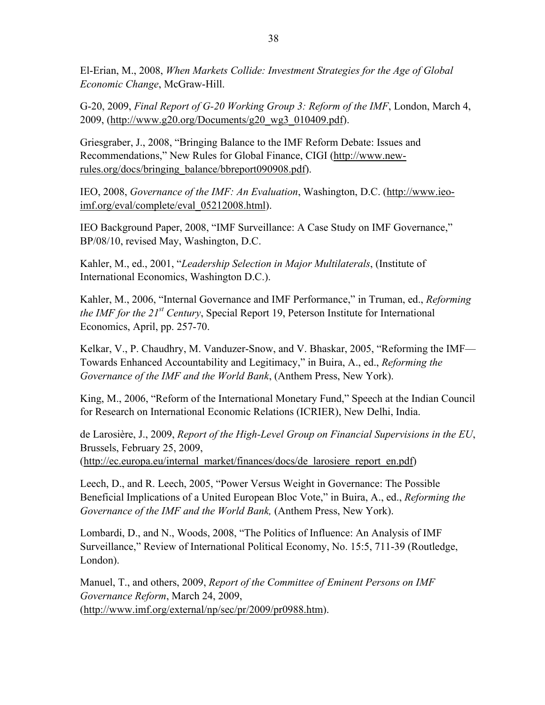El-Erian, M., 2008, *When Markets Collide: Investment Strategies for the Age of Global Economic Change*, McGraw-Hill.

G-20, 2009, *Final Report of G-20 Working Group 3: Reform of the IMF*, London, March 4, 2009, ([http://www.g20.org/Documents/g20\\_wg3\\_010409.pdf\)](http://www.g20.org/Documents/g20_wg3_010409.pdf).

Griesgraber, J., 2008, "Bringing Balance to the IMF Reform Debate: Issues and Recommendations," New Rules for Global Finance, CIGI [\(http://www.new](http://www.new-rules.org/docs/bringing_balance/bbreport090908.pdf)[rules.org/docs/bringing\\_balance/bbreport090908.pdf](http://www.new-rules.org/docs/bringing_balance/bbreport090908.pdf)).

IEO, 2008, *Governance of the IMF: An Evaluation*, Washington, D.C. ([http://www.ieo](http://www.ieo-imf.org/eval/complete/eval_05212008.html)[imf.org/eval/complete/eval\\_05212008.html\)](http://www.ieo-imf.org/eval/complete/eval_05212008.html).

IEO Background Paper, 2008, "IMF Surveillance: A Case Study on IMF Governance," BP/08/10, revised May, Washington, D.C.

Kahler, M., ed., 2001, "*Leadership Selection in Major Multilaterals*, (Institute of International Economics, Washington D.C.).

Kahler, M., 2006, "Internal Governance and IMF Performance," in Truman, ed., *Reforming the IMF for the 21st Century*, Special Report 19, Peterson Institute for International Economics, April, pp. 257-70.

Kelkar, V., P. Chaudhry, M. Vanduzer-Snow, and V. Bhaskar, 2005, "Reforming the IMF— Towards Enhanced Accountability and Legitimacy," in Buira, A., ed., *Reforming the Governance of the IMF and the World Bank*, (Anthem Press, New York).

King, M., 2006, "Reform of the International Monetary Fund," Speech at the Indian Council for Research on International Economic Relations (ICRIER), New Delhi, India.

de Larosière, J., 2009, *Report of the High-Level Group on Financial Supervisions in the EU*, Brussels, February 25, 2009, ([http://ec.europa.eu/internal\\_market/finances/docs/de\\_larosiere\\_report\\_en.pdf](http://ec.europa.eu/internal_market/finances/docs/de_larosiere_report_en.pdf))

Leech, D., and R. Leech, 2005, "Power Versus Weight in Governance: The Possible Beneficial Implications of a United European Bloc Vote," in Buira, A., ed., *Reforming the Governance of the IMF and the World Bank,* (Anthem Press, New York).

Lombardi, D., and N., Woods, 2008, "The Politics of Influence: An Analysis of IMF Surveillance," Review of International Political Economy, No. 15:5, 711-39 (Routledge, London).

Manuel, T., and others, 2009, *Report of the Committee of Eminent Persons on IMF Governance Reform*, March 24, 2009, ([http://www.imf.org/external/np/sec/pr/2009/pr0988.htm\)](http://0-www-imf-org.library.svsu.edu/external/np/sec/pr/2009/pr0988.htm).